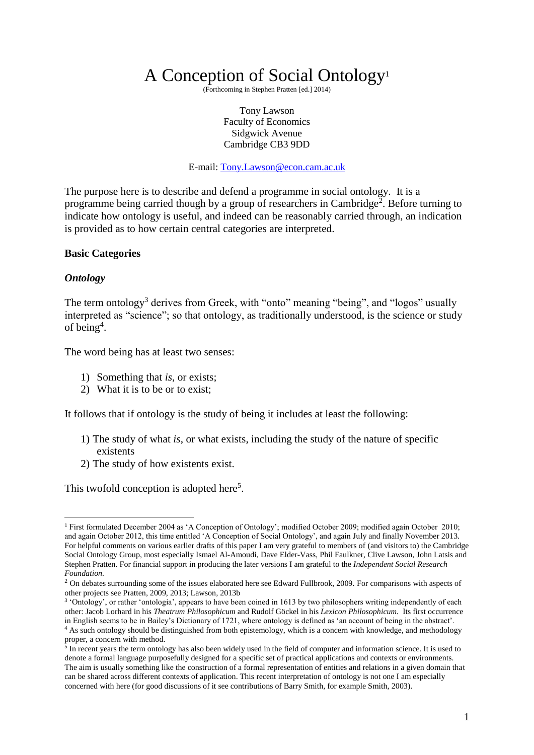# A Conception of Social Ontology<sup>1</sup>

(Forthcoming in Stephen Pratten [ed.] 2014)

Tony Lawson Faculty of Economics Sidgwick Avenue Cambridge CB3 9DD

E-mail: [Tony.Lawson@econ.cam.ac.uk](mailto:Tony.Lawson@econ.cam.ac.uk)

The purpose here is to describe and defend a programme in social ontology. It is a programme being carried though by a group of researchers in Cambridge<sup>2</sup>. Before turning to indicate how ontology is useful, and indeed can be reasonably carried through, an indication is provided as to how certain central categories are interpreted.

#### **Basic Categories**

#### *Ontology*

1

The term ontology<sup>3</sup> derives from Greek, with "onto" meaning "being", and "logos" usually interpreted as "science"; so that ontology, as traditionally understood, is the science or study of being<sup>4</sup>.

The word being has at least two senses:

- 1) Something that *is*, or exists;
- 2) What it is to be or to exist;

It follows that if ontology is the study of being it includes at least the following:

- 1) The study of what *is*, or what exists, including the study of the nature of specific existents
- 2) The study of how existents exist.

This twofold conception is adopted here<sup>5</sup>.

<sup>1</sup> First formulated December 2004 as 'A Conception of Ontology'; modified October 2009; modified again October 2010; and again October 2012, this time entitled 'A Conception of Social Ontology', and again July and finally November 2013. For helpful comments on various earlier drafts of this paper I am very grateful to members of (and visitors to) the Cambridge Social Ontology Group, most especially Ismael Al-Amoudi, Dave Elder-Vass, Phil Faulkner, Clive Lawson, John Latsis and Stephen Pratten. For financial support in producing the later versions I am grateful to the *Independent Social Research Foundation.*

<sup>&</sup>lt;sup>2</sup> On debates surrounding some of the issues elaborated here see Edward Fullbrook, 2009. For comparisons with aspects of other projects see Pratten, 2009, 2013; Lawson, 2013b

<sup>&</sup>lt;sup>3</sup> 'Ontology', or rather 'ontologia', appears to have been coined in 1613 by two philosophers writing independently of each other: Jacob Lorhard in his *Theatrum Philosophicum* and Rudolf Göckel in his *Lexicon Philosophicum.* Its first occurrence in English seems to be in Bailey's Dictionary of 1721, where ontology is defined as 'an account of being in the abstract'. <sup>4</sup> As such ontology should be distinguished from both epistemology, which is a concern with knowledge, and methodology

proper, a concern with method.<br><sup>5</sup> In recent years the term ontology has also been widely used in the field of computer and information science. It is used to denote a formal language purposefully designed for a specific set of practical applications and contexts or environments. The aim is usually something like the construction of a formal representation of entities and relations in a given domain that can be shared across different contexts of application. This recent interpretation of ontology is not one I am especially concerned with here (for good discussions of it see contributions of Barry Smith, for example Smith, 2003).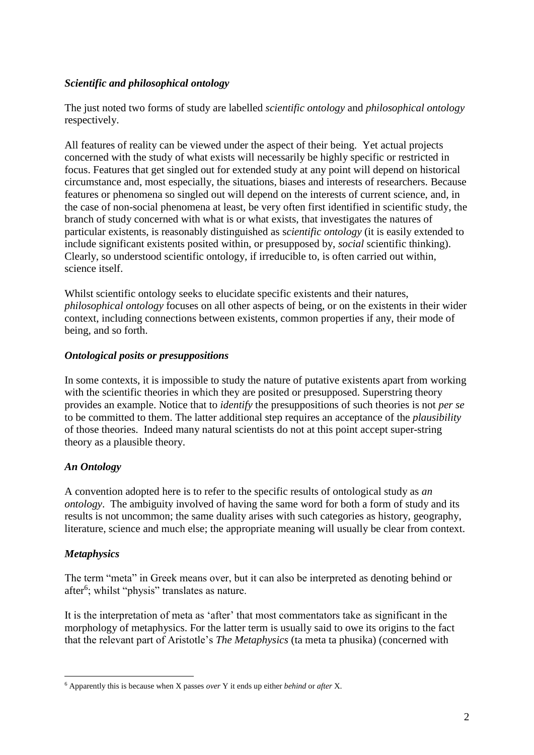## *Scientific and philosophical ontology*

The just noted two forms of study are labelled *scientific ontology* and *philosophical ontology* respectively.

All features of reality can be viewed under the aspect of their being. Yet actual projects concerned with the study of what exists will necessarily be highly specific or restricted in focus. Features that get singled out for extended study at any point will depend on historical circumstance and, most especially, the situations, biases and interests of researchers. Because features or phenomena so singled out will depend on the interests of current science, and, in the case of non-social phenomena at least, be very often first identified in scientific study, the branch of study concerned with what is or what exists, that investigates the natures of particular existents, is reasonably distinguished as s*cientific ontology* (it is easily extended to include significant existents posited within, or presupposed by, *social* scientific thinking). Clearly, so understood scientific ontology, if irreducible to, is often carried out within, science itself.

Whilst scientific ontology seeks to elucidate specific existents and their natures, *philosophical ontology* focuses on all other aspects of being, or on the existents in their wider context, including connections between existents, common properties if any, their mode of being, and so forth.

## *Ontological posits or presuppositions*

In some contexts, it is impossible to study the nature of putative existents apart from working with the scientific theories in which they are posited or presupposed. Superstring theory provides an example. Notice that to *identify* the presuppositions of such theories is not *per se* to be committed to them. The latter additional step requires an acceptance of the *plausibility* of those theories. Indeed many natural scientists do not at this point accept super-string theory as a plausible theory.

## *An Ontology*

A convention adopted here is to refer to the specific results of ontological study as *an ontology*. The ambiguity involved of having the same word for both a form of study and its results is not uncommon; the same duality arises with such categories as history, geography, literature, science and much else; the appropriate meaning will usually be clear from context.

## *Metaphysics*

The term "meta" in Greek means over, but it can also be interpreted as denoting behind or after<sup>6</sup>; whilst "physis" translates as nature.

It is the interpretation of meta as 'after' that most commentators take as significant in the morphology of metaphysics. For the latter term is usually said to owe its origins to the fact that the relevant part of Aristotle's *The Metaphysics* (ta meta ta phusika) (concerned with

<sup>1</sup> <sup>6</sup> Apparently this is because when X passes *over* Y it ends up either *behind* or *after* X.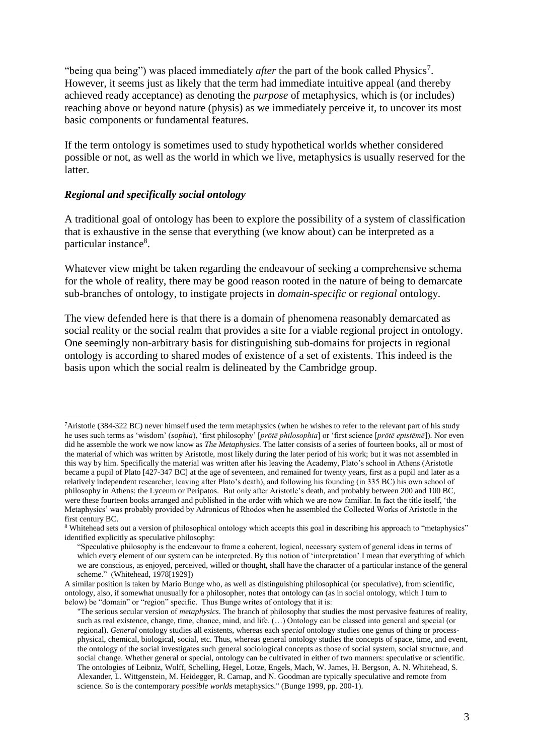"being qua being") was placed immediately *after* the part of the book called Physics<sup>7</sup>. However, it seems just as likely that the term had immediate intuitive appeal (and thereby achieved ready acceptance) as denoting the *purpose* of metaphysics, which is (or includes) reaching above or beyond nature (physis) as we immediately perceive it, to uncover its most basic components or fundamental features.

If the term ontology is sometimes used to study hypothetical worlds whether considered possible or not, as well as the world in which we live, metaphysics is usually reserved for the latter.

#### *Regional and specifically social ontology*

1

A traditional goal of ontology has been to explore the possibility of a system of classification that is exhaustive in the sense that everything (we know about) can be interpreted as a particular instance<sup>8</sup>.

Whatever view might be taken regarding the endeavour of seeking a comprehensive schema for the whole of reality, there may be good reason rooted in the nature of being to demarcate sub-branches of ontology, to instigate projects in *domain-specific* or *regional* ontology.

The view defended here is that there is a domain of phenomena reasonably demarcated as social reality or the social realm that provides a site for a viable regional project in ontology. One seemingly non-arbitrary basis for distinguishing sub-domains for projects in regional ontology is according to shared modes of existence of a set of existents. This indeed is the basis upon which the social realm is delineated by the Cambridge group.

<sup>7</sup>Aristotle (384-322 BC) never himself used the term metaphysics (when he wishes to refer to the relevant part of his study he uses such terms as 'wisdom' (*sophia*), 'first philosophy' [*prōtē philosophia*] or 'first science [*prōtē epistēmē*]). Nor even did he assemble the work we now know as *The Metaphysics*. The latter consists of a series of fourteen books, all or most of the material of which was written by Aristotle, most likely during the later period of his work; but it was not assembled in this way by him. Specifically the material was written after his leaving the Academy, Plato's school in Athens (Aristotle became a pupil of Plato [427-347 BC] at the age of seventeen, and remained for twenty years, first as a pupil and later as a relatively independent researcher, leaving after Plato's death), and following his founding (in 335 BC) his own school of philosophy in Athens: the Lyceum or Peripatos. But only after Aristotle's death, and probably between 200 and 100 BC, were these fourteen books arranged and published in the order with which we are now familiar. In fact the title itself, 'the Metaphysics' was probably provided by Adronicus of Rhodos when he assembled the Collected Works of Aristotle in the first century BC.

<sup>&</sup>lt;sup>8</sup> Whitehead sets out a version of philosophical ontology which accepts this goal in describing his approach to "metaphysics" identified explicitly as speculative philosophy:

<sup>&</sup>quot;Speculative philosophy is the endeavour to frame a coherent, logical, necessary system of general ideas in terms of which every element of our system can be interpreted. By this notion of 'interpretation' I mean that everything of which we are conscious, as enjoyed, perceived, willed or thought, shall have the character of a particular instance of the general scheme." (Whitehead, 1978[1929])

A similar position is taken by Mario Bunge who, as well as distinguishing philosophical (or speculative), from scientific, ontology, also, if somewhat unusually for a philosopher, notes that ontology can (as in social ontology, which I turn to below) be "domain" or "region" specific. Thus Bunge writes of ontology that it is:

<sup>&</sup>quot;The serious secular version of *metaphysics*. The branch of philosophy that studies the most pervasive features of reality, such as real existence, change, time, chance, mind, and life. (...) Ontology can be classed into general and special (or regional). *General* ontology studies all existents, whereas each *special* ontology studies one genus of thing or processphysical, chemical, biological, social, etc. Thus, whereas general ontology studies the concepts of space, time, and event, the ontology of the social investigates such general sociological concepts as those of social system, social structure, and social change. Whether general or special, ontology can be cultivated in either of two manners: speculative or scientific. The ontologies of Leibniz, Wolff, Schelling, Hegel, Lotze, Engels, Mach, W. James, H. Bergson, A. N. Whitehead, S. Alexander, L. Wittgenstein, M. Heidegger, R. Carnap, and N. Goodman are typically speculative and remote from science. So is the contemporary *possible worlds* metaphysics." (Bunge 1999, pp. 200-1).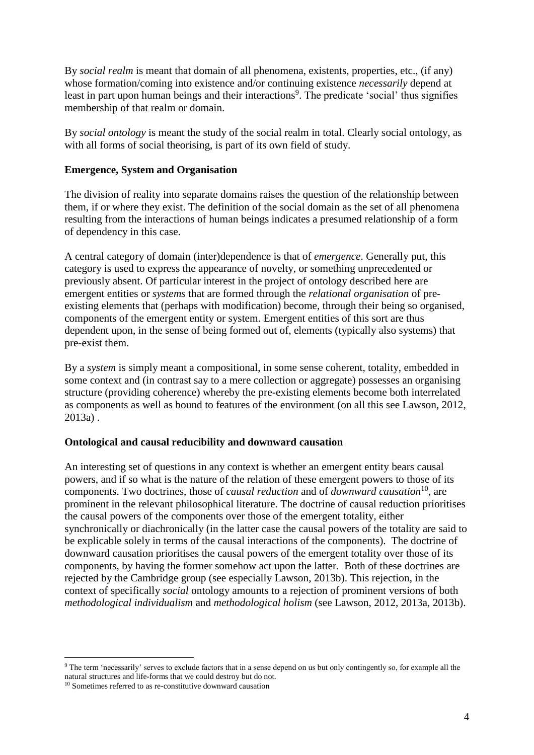By *social realm* is meant that domain of all phenomena, existents, properties, etc., (if any) whose formation/coming into existence and/or continuing existence *necessarily* depend at least in part upon human beings and their interactions<sup>9</sup>. The predicate 'social' thus signifies membership of that realm or domain.

By *social ontology* is meant the study of the social realm in total. Clearly social ontology, as with all forms of social theorising, is part of its own field of study.

#### **Emergence, System and Organisation**

The division of reality into separate domains raises the question of the relationship between them, if or where they exist. The definition of the social domain as the set of all phenomena resulting from the interactions of human beings indicates a presumed relationship of a form of dependency in this case.

A central category of domain (inter)dependence is that of *emergence*. Generally put, this category is used to express the appearance of novelty, or something unprecedented or previously absent. Of particular interest in the project of ontology described here are emergent entities or *systems* that are formed through the *relational organisation* of preexisting elements that (perhaps with modification) become, through their being so organised, components of the emergent entity or system. Emergent entities of this sort are thus dependent upon, in the sense of being formed out of, elements (typically also systems) that pre-exist them.

By a *system* is simply meant a compositional, in some sense coherent, totality, embedded in some context and (in contrast say to a mere collection or aggregate) possesses an organising structure (providing coherence) whereby the pre-existing elements become both interrelated as components as well as bound to features of the environment (on all this see Lawson, 2012, 2013a) .

## **Ontological and causal reducibility and downward causation**

An interesting set of questions in any context is whether an emergent entity bears causal powers, and if so what is the nature of the relation of these emergent powers to those of its components. Two doctrines, those of *causal reduction* and of *downward causation*<sup>10</sup>, are prominent in the relevant philosophical literature. The doctrine of causal reduction prioritises the causal powers of the components over those of the emergent totality, either synchronically or diachronically (in the latter case the causal powers of the totality are said to be explicable solely in terms of the causal interactions of the components). The doctrine of downward causation prioritises the causal powers of the emergent totality over those of its components, by having the former somehow act upon the latter. Both of these doctrines are rejected by the Cambridge group (see especially Lawson, 2013b). This rejection, in the context of specifically *social* ontology amounts to a rejection of prominent versions of both *methodological individualism* and *methodological holism* (see Lawson, 2012, 2013a, 2013b).

1

<sup>&</sup>lt;sup>9</sup> The term 'necessarily' serves to exclude factors that in a sense depend on us but only contingently so, for example all the natural structures and life-forms that we could destroy but do not.

 $^{10}$  Sometimes referred to as re-constitutive downward causation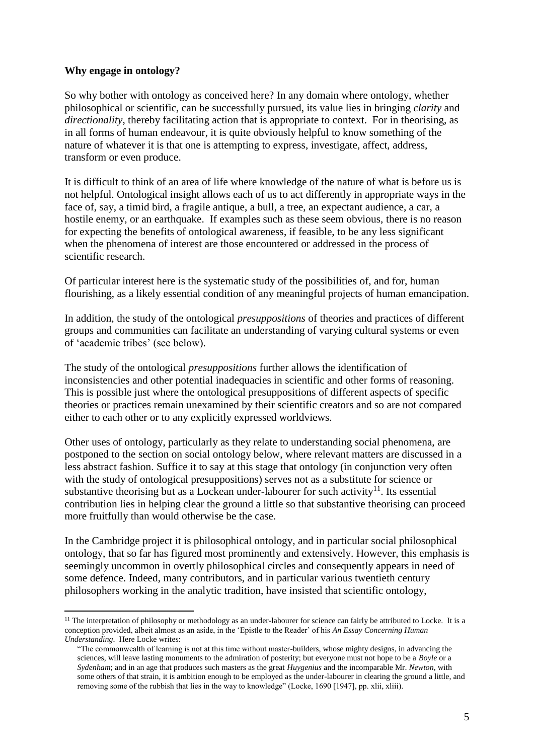#### **Why engage in ontology?**

1

So why bother with ontology as conceived here? In any domain where ontology, whether philosophical or scientific, can be successfully pursued, its value lies in bringing *clarity* and *directionality*, thereby facilitating action that is appropriate to context. For in theorising, as in all forms of human endeavour, it is quite obviously helpful to know something of the nature of whatever it is that one is attempting to express, investigate, affect, address, transform or even produce.

It is difficult to think of an area of life where knowledge of the nature of what is before us is not helpful. Ontological insight allows each of us to act differently in appropriate ways in the face of, say, a timid bird, a fragile antique, a bull, a tree, an expectant audience, a car, a hostile enemy, or an earthquake. If examples such as these seem obvious, there is no reason for expecting the benefits of ontological awareness, if feasible, to be any less significant when the phenomena of interest are those encountered or addressed in the process of scientific research.

Of particular interest here is the systematic study of the possibilities of, and for, human flourishing, as a likely essential condition of any meaningful projects of human emancipation.

In addition, the study of the ontological *presuppositions* of theories and practices of different groups and communities can facilitate an understanding of varying cultural systems or even of 'academic tribes' (see below).

The study of the ontological *presuppositions* further allows the identification of inconsistencies and other potential inadequacies in scientific and other forms of reasoning. This is possible just where the ontological presuppositions of different aspects of specific theories or practices remain unexamined by their scientific creators and so are not compared either to each other or to any explicitly expressed worldviews.

Other uses of ontology, particularly as they relate to understanding social phenomena, are postponed to the section on social ontology below, where relevant matters are discussed in a less abstract fashion. Suffice it to say at this stage that ontology (in conjunction very often with the study of ontological presuppositions) serves not as a substitute for science or substantive theorising but as a Lockean under-labourer for such activity<sup>11</sup>. Its essential contribution lies in helping clear the ground a little so that substantive theorising can proceed more fruitfully than would otherwise be the case.

In the Cambridge project it is philosophical ontology, and in particular social philosophical ontology, that so far has figured most prominently and extensively. However, this emphasis is seemingly uncommon in overtly philosophical circles and consequently appears in need of some defence. Indeed, many contributors, and in particular various twentieth century philosophers working in the analytic tradition, have insisted that scientific ontology,

<sup>&</sup>lt;sup>11</sup> The interpretation of philosophy or methodology as an under-labourer for science can fairly be attributed to Locke. It is a conception provided, albeit almost as an aside, in the 'Epistle to the Reader' of his *An Essay Concerning Human Understanding*. Here Locke writes:

<sup>&</sup>quot;The commonwealth of learning is not at this time without master-builders, whose mighty designs, in advancing the sciences, will leave lasting monuments to the admiration of posterity; but everyone must not hope to be a *Boyle* or a *Sydenham*; and in an age that produces such masters as the great *Huygenius* and the incomparable Mr. *Newton*, with some others of that strain, it is ambition enough to be employed as the under-labourer in clearing the ground a little, and removing some of the rubbish that lies in the way to knowledge" (Locke, 1690 [1947], pp. xlii, xliii).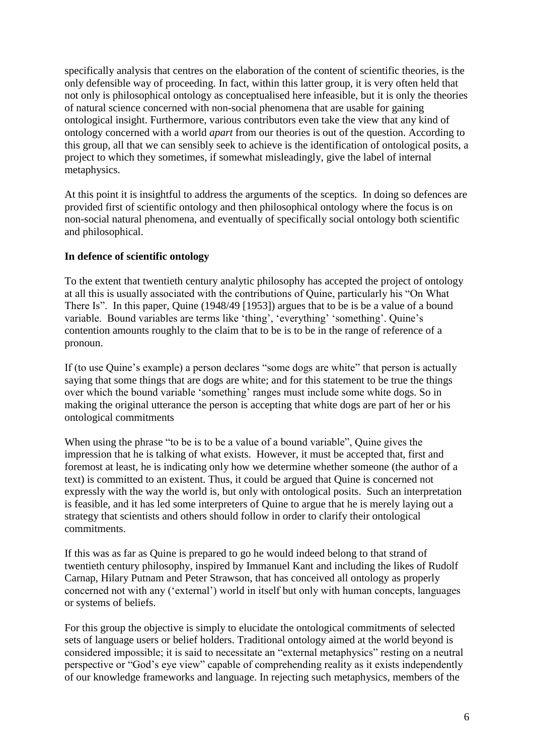specifically analysis that centres on the elaboration of the content of scientific theories, is the only defensible way of proceeding. In fact, within this latter group, it is very often held that not only is philosophical ontology as conceptualised here infeasible, but it is only the theories of natural science concerned with non-social phenomena that are usable for gaining ontological insight. Furthermore, various contributors even take the view that any kind of ontology concerned with a world *apart* from our theories is out of the question. According to this group, all that we can sensibly seek to achieve is the identification of ontological posits, a project to which they sometimes, if somewhat misleadingly, give the label of internal metaphysics.

At this point it is insightful to address the arguments of the sceptics. In doing so defences are provided first of scientific ontology and then philosophical ontology where the focus is on non-social natural phenomena, and eventually of specifically social ontology both scientific and philosophical.

## **In defence of scientific ontology**

To the extent that twentieth century analytic philosophy has accepted the project of ontology at all this is usually associated with the contributions of Quine, particularly his "On What There Is". In this paper, Quine (1948/49 [1953]) argues that to be is be a value of a bound variable. Bound variables are terms like 'thing', 'everything' 'something'. Quine's contention amounts roughly to the claim that to be is to be in the range of reference of a pronoun.

If (to use Quine's example) a person declares "some dogs are white" that person is actually saying that some things that are dogs are white; and for this statement to be true the things over which the bound variable 'something' ranges must include some white dogs. So in making the original utterance the person is accepting that white dogs are part of her or his ontological commitments

When using the phrase "to be is to be a value of a bound variable", Quine gives the impression that he is talking of what exists. However, it must be accepted that, first and foremost at least, he is indicating only how we determine whether someone (the author of a text) is committed to an existent. Thus, it could be argued that Quine is concerned not expressly with the way the world is, but only with ontological posits. Such an interpretation is feasible, and it has led some interpreters of Quine to argue that he is merely laying out a strategy that scientists and others should follow in order to clarify their ontological commitments.

If this was as far as Quine is prepared to go he would indeed belong to that strand of twentieth century philosophy, inspired by Immanuel Kant and including the likes of Rudolf Carnap, Hilary Putnam and Peter Strawson, that has conceived all ontology as properly concerned not with any ('external') world in itself but only with human concepts, languages or systems of beliefs.

For this group the objective is simply to elucidate the ontological commitments of selected sets of language users or belief holders. Traditional ontology aimed at the world beyond is considered impossible; it is said to necessitate an "external metaphysics" resting on a neutral perspective or "God's eye view" capable of comprehending reality as it exists independently of our knowledge frameworks and language. In rejecting such metaphysics, members of the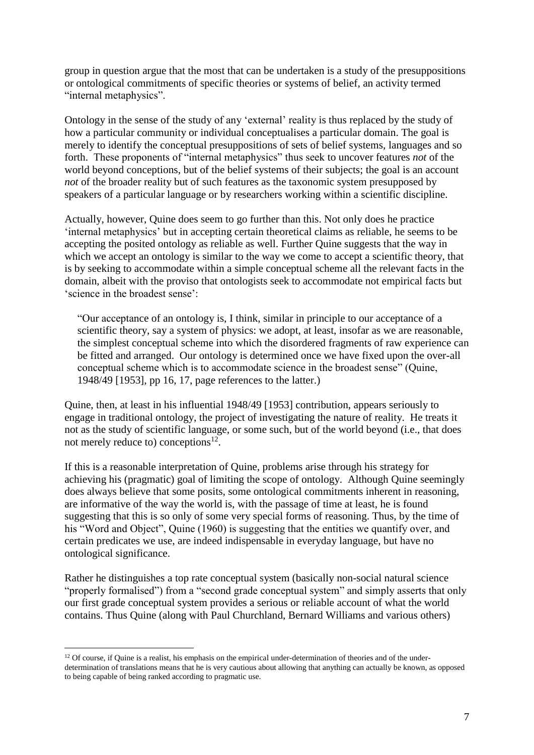group in question argue that the most that can be undertaken is a study of the presuppositions or ontological commitments of specific theories or systems of belief, an activity termed "internal metaphysics".

Ontology in the sense of the study of any 'external' reality is thus replaced by the study of how a particular community or individual conceptualises a particular domain. The goal is merely to identify the conceptual presuppositions of sets of belief systems, languages and so forth. These proponents of "internal metaphysics" thus seek to uncover features *not* of the world beyond conceptions, but of the belief systems of their subjects; the goal is an account *not* of the broader reality but of such features as the taxonomic system presupposed by speakers of a particular language or by researchers working within a scientific discipline.

Actually, however, Quine does seem to go further than this. Not only does he practice 'internal metaphysics' but in accepting certain theoretical claims as reliable, he seems to be accepting the posited ontology as reliable as well. Further Quine suggests that the way in which we accept an ontology is similar to the way we come to accept a scientific theory, that is by seeking to accommodate within a simple conceptual scheme all the relevant facts in the domain, albeit with the proviso that ontologists seek to accommodate not empirical facts but 'science in the broadest sense':

"Our acceptance of an ontology is, I think, similar in principle to our acceptance of a scientific theory, say a system of physics: we adopt, at least, insofar as we are reasonable, the simplest conceptual scheme into which the disordered fragments of raw experience can be fitted and arranged. Our ontology is determined once we have fixed upon the over-all conceptual scheme which is to accommodate science in the broadest sense" (Quine, 1948/49 [1953], pp 16, 17, page references to the latter.)

Quine, then, at least in his influential 1948/49 [1953] contribution, appears seriously to engage in traditional ontology, the project of investigating the nature of reality. He treats it not as the study of scientific language, or some such, but of the world beyond (i.e., that does not merely reduce to) conceptions $12$ .

If this is a reasonable interpretation of Quine, problems arise through his strategy for achieving his (pragmatic) goal of limiting the scope of ontology. Although Quine seemingly does always believe that some posits, some ontological commitments inherent in reasoning, are informative of the way the world is, with the passage of time at least, he is found suggesting that this is so only of some very special forms of reasoning. Thus, by the time of his "Word and Object", Quine (1960) is suggesting that the entities we quantify over, and certain predicates we use, are indeed indispensable in everyday language, but have no ontological significance.

Rather he distinguishes a top rate conceptual system (basically non-social natural science "properly formalised") from a "second grade conceptual system" and simply asserts that only our first grade conceptual system provides a serious or reliable account of what the world contains. Thus Quine (along with Paul Churchland, Bernard Williams and various others)

<u>.</u>

<sup>&</sup>lt;sup>12</sup> Of course, if Quine is a realist, his emphasis on the empirical under-determination of theories and of the underdetermination of translations means that he is very cautious about allowing that anything can actually be known, as opposed to being capable of being ranked according to pragmatic use.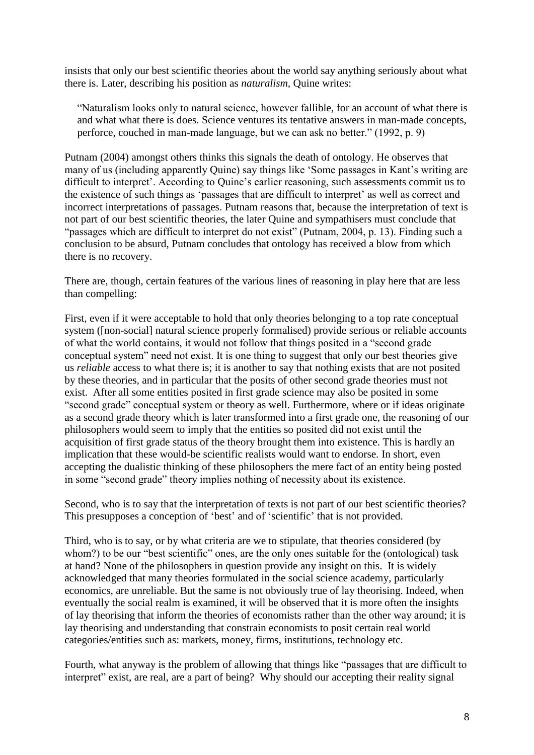insists that only our best scientific theories about the world say anything seriously about what there is. Later, describing his position as *naturalism,* Quine writes:

"Naturalism looks only to natural science, however fallible, for an account of what there is and what what there is does. Science ventures its tentative answers in man-made concepts, perforce, couched in man-made language, but we can ask no better." (1992, p. 9)

Putnam (2004) amongst others thinks this signals the death of ontology. He observes that many of us (including apparently Quine) say things like 'Some passages in Kant's writing are difficult to interpret'. According to Quine's earlier reasoning, such assessments commit us to the existence of such things as 'passages that are difficult to interpret' as well as correct and incorrect interpretations of passages. Putnam reasons that, because the interpretation of text is not part of our best scientific theories, the later Quine and sympathisers must conclude that "passages which are difficult to interpret do not exist" (Putnam, 2004, p. 13). Finding such a conclusion to be absurd, Putnam concludes that ontology has received a blow from which there is no recovery.

There are, though, certain features of the various lines of reasoning in play here that are less than compelling:

First, even if it were acceptable to hold that only theories belonging to a top rate conceptual system ([non-social] natural science properly formalised) provide serious or reliable accounts of what the world contains, it would not follow that things posited in a "second grade conceptual system" need not exist. It is one thing to suggest that only our best theories give us *reliable* access to what there is; it is another to say that nothing exists that are not posited by these theories, and in particular that the posits of other second grade theories must not exist. After all some entities posited in first grade science may also be posited in some "second grade" conceptual system or theory as well. Furthermore, where or if ideas originate as a second grade theory which is later transformed into a first grade one, the reasoning of our philosophers would seem to imply that the entities so posited did not exist until the acquisition of first grade status of the theory brought them into existence. This is hardly an implication that these would-be scientific realists would want to endorse. In short, even accepting the dualistic thinking of these philosophers the mere fact of an entity being posted in some "second grade" theory implies nothing of necessity about its existence.

Second, who is to say that the interpretation of texts is not part of our best scientific theories? This presupposes a conception of 'best' and of 'scientific' that is not provided.

Third, who is to say, or by what criteria are we to stipulate, that theories considered (by whom?) to be our "best scientific" ones, are the only ones suitable for the (ontological) task at hand? None of the philosophers in question provide any insight on this. It is widely acknowledged that many theories formulated in the social science academy, particularly economics, are unreliable. But the same is not obviously true of lay theorising. Indeed, when eventually the social realm is examined, it will be observed that it is more often the insights of lay theorising that inform the theories of economists rather than the other way around; it is lay theorising and understanding that constrain economists to posit certain real world categories/entities such as: markets, money, firms, institutions, technology etc.

Fourth, what anyway is the problem of allowing that things like "passages that are difficult to interpret" exist, are real, are a part of being? Why should our accepting their reality signal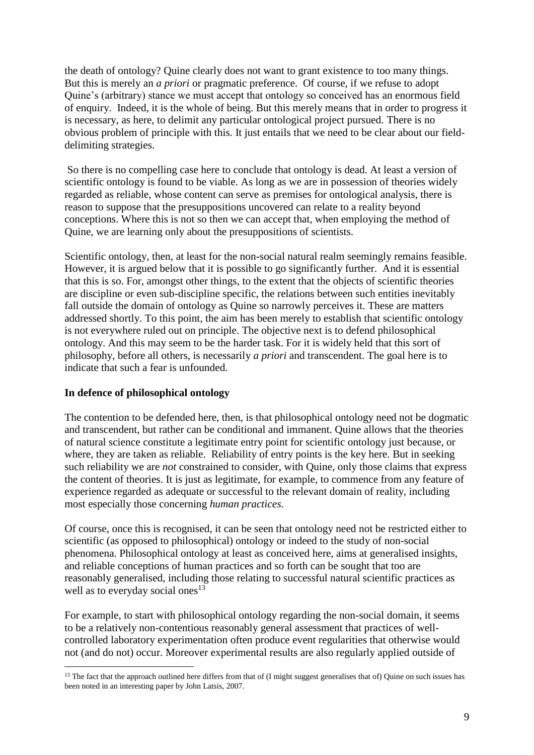the death of ontology? Quine clearly does not want to grant existence to too many things. But this is merely an *a priori* or pragmatic preference. Of course, if we refuse to adopt Quine's (arbitrary) stance we must accept that ontology so conceived has an enormous field of enquiry. Indeed, it is the whole of being. But this merely means that in order to progress it is necessary, as here, to delimit any particular ontological project pursued. There is no obvious problem of principle with this. It just entails that we need to be clear about our fielddelimiting strategies.

So there is no compelling case here to conclude that ontology is dead. At least a version of scientific ontology is found to be viable. As long as we are in possession of theories widely regarded as reliable, whose content can serve as premises for ontological analysis, there is reason to suppose that the presuppositions uncovered can relate to a reality beyond conceptions. Where this is not so then we can accept that, when employing the method of Quine, we are learning only about the presuppositions of scientists.

Scientific ontology, then, at least for the non-social natural realm seemingly remains feasible. However, it is argued below that it is possible to go significantly further. And it is essential that this is so. For, amongst other things, to the extent that the objects of scientific theories are discipline or even sub-discipline specific, the relations between such entities inevitably fall outside the domain of ontology as Quine so narrowly perceives it. These are matters addressed shortly. To this point, the aim has been merely to establish that scientific ontology is not everywhere ruled out on principle. The objective next is to defend philosophical ontology. And this may seem to be the harder task. For it is widely held that this sort of philosophy, before all others, is necessarily *a priori* and transcendent. The goal here is to indicate that such a fear is unfounded.

## **In defence of philosophical ontology**

The contention to be defended here, then, is that philosophical ontology need not be dogmatic and transcendent, but rather can be conditional and immanent. Quine allows that the theories of natural science constitute a legitimate entry point for scientific ontology just because, or where, they are taken as reliable. Reliability of entry points is the key here. But in seeking such reliability we are *not* constrained to consider, with Quine, only those claims that express the content of theories. It is just as legitimate, for example, to commence from any feature of experience regarded as adequate or successful to the relevant domain of reality, including most especially those concerning *human practices*.

Of course, once this is recognised, it can be seen that ontology need not be restricted either to scientific (as opposed to philosophical) ontology or indeed to the study of non-social phenomena. Philosophical ontology at least as conceived here, aims at generalised insights, and reliable conceptions of human practices and so forth can be sought that too are reasonably generalised, including those relating to successful natural scientific practices as well as to everyday social ones<sup>13</sup>

For example, to start with philosophical ontology regarding the non-social domain, it seems to be a relatively non-contentious reasonably general assessment that practices of wellcontrolled laboratory experimentation often produce event regularities that otherwise would not (and do not) occur. Moreover experimental results are also regularly applied outside of

<sup>&</sup>lt;u>.</u>  $13$  The fact that the approach outlined here differs from that of  $(I \text{ might suggest generalises that of})$  Quine on such issues has been noted in an interesting paper by John Latsis, 2007.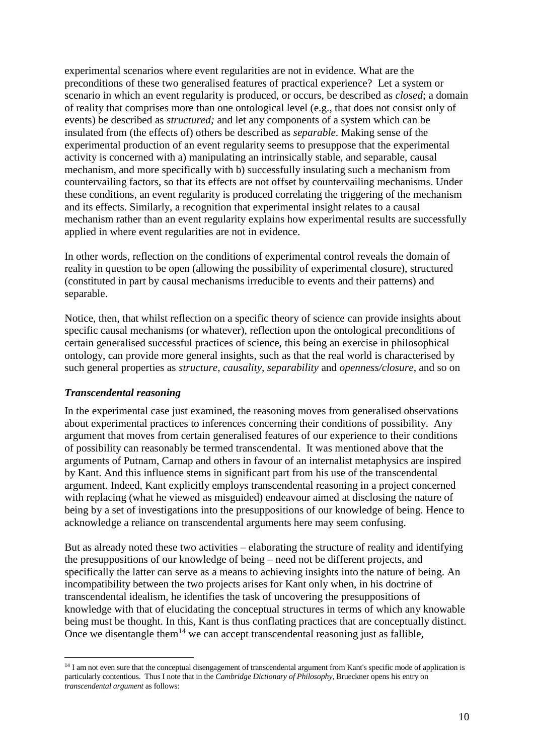experimental scenarios where event regularities are not in evidence. What are the preconditions of these two generalised features of practical experience? Let a system or scenario in which an event regularity is produced, or occurs, be described as *closed*; a domain of reality that comprises more than one ontological level (e.g., that does not consist only of events) be described as *structured;* and let any components of a system which can be insulated from (the effects of) others be described as *separable*. Making sense of the experimental production of an event regularity seems to presuppose that the experimental activity is concerned with a) manipulating an intrinsically stable, and separable, causal mechanism, and more specifically with b) successfully insulating such a mechanism from countervailing factors, so that its effects are not offset by countervailing mechanisms. Under these conditions, an event regularity is produced correlating the triggering of the mechanism and its effects. Similarly, a recognition that experimental insight relates to a causal mechanism rather than an event regularity explains how experimental results are successfully applied in where event regularities are not in evidence.

In other words, reflection on the conditions of experimental control reveals the domain of reality in question to be open (allowing the possibility of experimental closure), structured (constituted in part by causal mechanisms irreducible to events and their patterns) and separable.

Notice, then, that whilst reflection on a specific theory of science can provide insights about specific causal mechanisms (or whatever), reflection upon the ontological preconditions of certain generalised successful practices of science, this being an exercise in philosophical ontology, can provide more general insights, such as that the real world is characterised by such general properties as *structure, causality, separability* and *openness/closure*, and so on

#### *Transcendental reasoning*

1

In the experimental case just examined, the reasoning moves from generalised observations about experimental practices to inferences concerning their conditions of possibility. Any argument that moves from certain generalised features of our experience to their conditions of possibility can reasonably be termed transcendental. It was mentioned above that the arguments of Putnam, Carnap and others in favour of an internalist metaphysics are inspired by Kant. And this influence stems in significant part from his use of the transcendental argument. Indeed, Kant explicitly employs transcendental reasoning in a project concerned with replacing (what he viewed as misguided) endeavour aimed at disclosing the nature of being by a set of investigations into the presuppositions of our knowledge of being. Hence to acknowledge a reliance on transcendental arguments here may seem confusing.

But as already noted these two activities – elaborating the structure of reality and identifying the presuppositions of our knowledge of being – need not be different projects, and specifically the latter can serve as a means to achieving insights into the nature of being. An incompatibility between the two projects arises for Kant only when, in his doctrine of transcendental idealism, he identifies the task of uncovering the presuppositions of knowledge with that of elucidating the conceptual structures in terms of which any knowable being must be thought. In this, Kant is thus conflating practices that are conceptually distinct. Once we disentangle them<sup>14</sup> we can accept transcendental reasoning just as fallible,

<sup>&</sup>lt;sup>14</sup> I am not even sure that the conceptual disengagement of transcendental argument from Kant's specific mode of application is particularly contentious. Thus I note that in the *Cambridge Dictionary of Philosophy*, Brueckner opens his entry on *transcendental argument* as follows: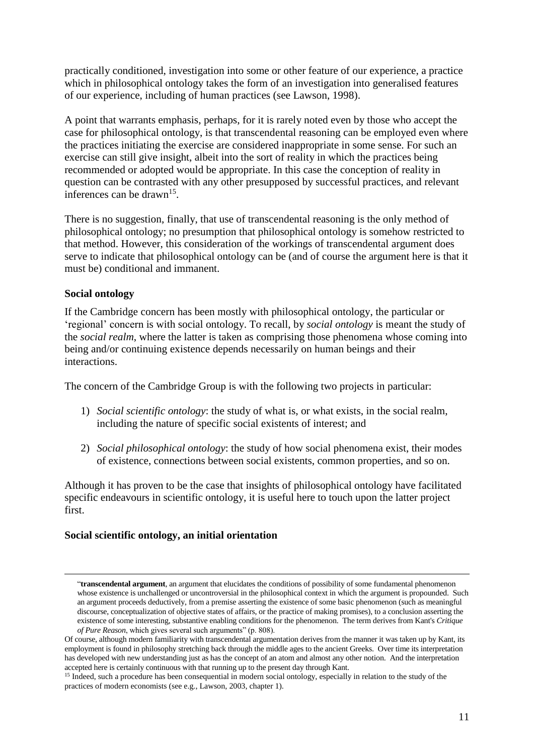practically conditioned, investigation into some or other feature of our experience, a practice which in philosophical ontology takes the form of an investigation into generalised features of our experience, including of human practices (see Lawson, 1998).

A point that warrants emphasis, perhaps, for it is rarely noted even by those who accept the case for philosophical ontology, is that transcendental reasoning can be employed even where the practices initiating the exercise are considered inappropriate in some sense. For such an exercise can still give insight, albeit into the sort of reality in which the practices being recommended or adopted would be appropriate. In this case the conception of reality in question can be contrasted with any other presupposed by successful practices, and relevant inferences can be drawn<sup>15</sup>.

There is no suggestion, finally, that use of transcendental reasoning is the only method of philosophical ontology; no presumption that philosophical ontology is somehow restricted to that method. However, this consideration of the workings of transcendental argument does serve to indicate that philosophical ontology can be (and of course the argument here is that it must be) conditional and immanent.

#### **Social ontology**

<u>.</u>

If the Cambridge concern has been mostly with philosophical ontology, the particular or 'regional' concern is with social ontology. To recall, by *social ontology* is meant the study of the *social realm*, where the latter is taken as comprising those phenomena whose coming into being and/or continuing existence depends necessarily on human beings and their interactions.

The concern of the Cambridge Group is with the following two projects in particular:

- 1) *Social scientific ontology*: the study of what is, or what exists, in the social realm, including the nature of specific social existents of interest; and
- 2) *Social philosophical ontology*: the study of how social phenomena exist, their modes of existence, connections between social existents, common properties, and so on.

Although it has proven to be the case that insights of philosophical ontology have facilitated specific endeavours in scientific ontology, it is useful here to touch upon the latter project first.

## **Social scientific ontology, an initial orientation**

<sup>&</sup>quot;**transcendental argument**, an argument that elucidates the conditions of possibility of some fundamental phenomenon whose existence is unchallenged or uncontroversial in the philosophical context in which the argument is propounded. Such an argument proceeds deductively, from a premise asserting the existence of some basic phenomenon (such as meaningful discourse, conceptualization of objective states of affairs, or the practice of making promises), to a conclusion asserting the existence of some interesting, substantive enabling conditions for the phenomenon. The term derives from Kant's *Critique of Pure Reason*, which gives several such arguments" (p. 808).

Of course, although modern familiarity with transcendental argumentation derives from the manner it was taken up by Kant, its employment is found in philosophy stretching back through the middle ages to the ancient Greeks. Over time its interpretation has developed with new understanding just as has the concept of an atom and almost any other notion. And the interpretation accepted here is certainly continuous with that running up to the present day through Kant.

<sup>&</sup>lt;sup>15</sup> Indeed, such a procedure has been consequential in modern social ontology, especially in relation to the study of the practices of modern economists (see e.g., Lawson, 2003, chapter 1).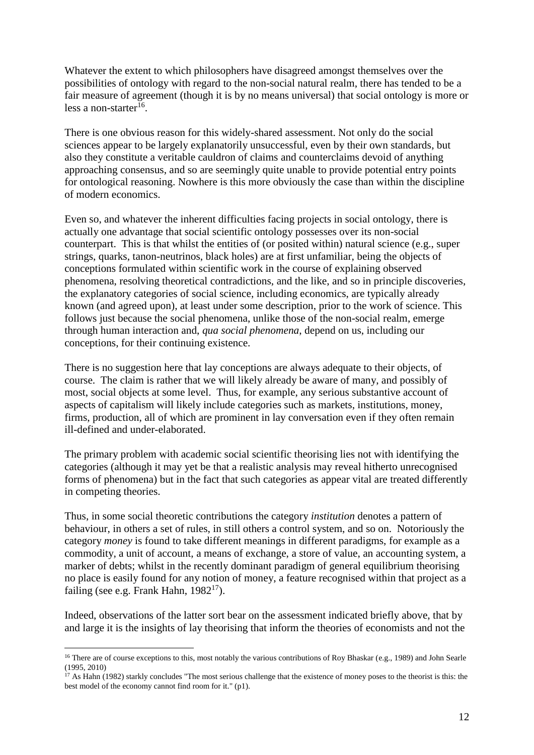Whatever the extent to which philosophers have disagreed amongst themselves over the possibilities of ontology with regard to the non-social natural realm, there has tended to be a fair measure of agreement (though it is by no means universal) that social ontology is more or less a non-starter<sup>16</sup>.

There is one obvious reason for this widely-shared assessment. Not only do the social sciences appear to be largely explanatorily unsuccessful, even by their own standards, but also they constitute a veritable cauldron of claims and counterclaims devoid of anything approaching consensus, and so are seemingly quite unable to provide potential entry points for ontological reasoning. Nowhere is this more obviously the case than within the discipline of modern economics.

Even so, and whatever the inherent difficulties facing projects in social ontology, there is actually one advantage that social scientific ontology possesses over its non-social counterpart. This is that whilst the entities of (or posited within) natural science (e.g., super strings, quarks, tanon-neutrinos, black holes) are at first unfamiliar, being the objects of conceptions formulated within scientific work in the course of explaining observed phenomena, resolving theoretical contradictions, and the like, and so in principle discoveries, the explanatory categories of social science, including economics, are typically already known (and agreed upon), at least under some description, prior to the work of science. This follows just because the social phenomena, unlike those of the non-social realm, emerge through human interaction and, *qua social phenomena*, depend on us, including our conceptions, for their continuing existence.

There is no suggestion here that lay conceptions are always adequate to their objects, of course. The claim is rather that we will likely already be aware of many, and possibly of most, social objects at some level. Thus, for example, any serious substantive account of aspects of capitalism will likely include categories such as markets, institutions, money, firms, production, all of which are prominent in lay conversation even if they often remain ill-defined and under-elaborated.

The primary problem with academic social scientific theorising lies not with identifying the categories (although it may yet be that a realistic analysis may reveal hitherto unrecognised forms of phenomena) but in the fact that such categories as appear vital are treated differently in competing theories.

Thus, in some social theoretic contributions the category *institution* denotes a pattern of behaviour, in others a set of rules, in still others a control system, and so on. Notoriously the category *money* is found to take different meanings in different paradigms, for example as a commodity, a unit of account, a means of exchange, a store of value, an accounting system, a marker of debts; whilst in the recently dominant paradigm of general equilibrium theorising no place is easily found for any notion of money, a feature recognised within that project as a failing (see e.g. Frank Hahn,  $1982^{17}$ ).

Indeed, observations of the latter sort bear on the assessment indicated briefly above, that by and large it is the insights of lay theorising that inform the theories of economists and not the

<u>.</u>

 $16$  There are of course exceptions to this, most notably the various contributions of Roy Bhaskar (e.g., 1989) and John Searle (1995, 2010)

<sup>&</sup>lt;sup>17</sup> As Hahn (1982) starkly concludes "The most serious challenge that the existence of money poses to the theorist is this: the best model of the economy cannot find room for it." (p1).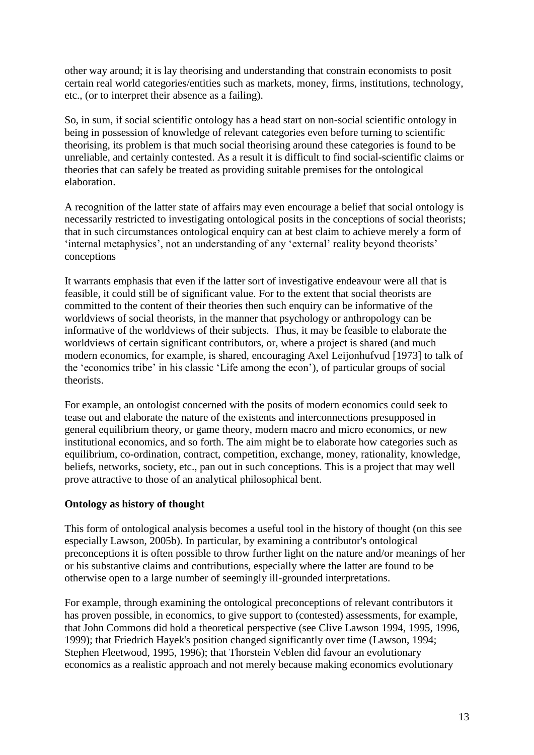other way around; it is lay theorising and understanding that constrain economists to posit certain real world categories/entities such as markets, money, firms, institutions, technology, etc., (or to interpret their absence as a failing).

So, in sum, if social scientific ontology has a head start on non-social scientific ontology in being in possession of knowledge of relevant categories even before turning to scientific theorising, its problem is that much social theorising around these categories is found to be unreliable, and certainly contested. As a result it is difficult to find social-scientific claims or theories that can safely be treated as providing suitable premises for the ontological elaboration.

A recognition of the latter state of affairs may even encourage a belief that social ontology is necessarily restricted to investigating ontological posits in the conceptions of social theorists; that in such circumstances ontological enquiry can at best claim to achieve merely a form of 'internal metaphysics', not an understanding of any 'external' reality beyond theorists' conceptions

It warrants emphasis that even if the latter sort of investigative endeavour were all that is feasible, it could still be of significant value. For to the extent that social theorists are committed to the content of their theories then such enquiry can be informative of the worldviews of social theorists, in the manner that psychology or anthropology can be informative of the worldviews of their subjects. Thus, it may be feasible to elaborate the worldviews of certain significant contributors, or, where a project is shared (and much modern economics, for example, is shared, encouraging Axel Leijonhufvud [1973] to talk of the 'economics tribe' in his classic 'Life among the econ'), of particular groups of social theorists.

For example, an ontologist concerned with the posits of modern economics could seek to tease out and elaborate the nature of the existents and interconnections presupposed in general equilibrium theory, or game theory, modern macro and micro economics, or new institutional economics, and so forth. The aim might be to elaborate how categories such as equilibrium, co-ordination, contract, competition, exchange, money, rationality, knowledge, beliefs, networks, society, etc., pan out in such conceptions. This is a project that may well prove attractive to those of an analytical philosophical bent.

## **Ontology as history of thought**

This form of ontological analysis becomes a useful tool in the history of thought (on this see especially Lawson, 2005b). In particular, by examining a contributor's ontological preconceptions it is often possible to throw further light on the nature and/or meanings of her or his substantive claims and contributions, especially where the latter are found to be otherwise open to a large number of seemingly ill-grounded interpretations.

For example, through examining the ontological preconceptions of relevant contributors it has proven possible, in economics, to give support to (contested) assessments, for example, that John Commons did hold a theoretical perspective (see Clive Lawson 1994, 1995, 1996, 1999); that Friedrich Hayek's position changed significantly over time (Lawson, 1994; Stephen Fleetwood, 1995, 1996); that Thorstein Veblen did favour an evolutionary economics as a realistic approach and not merely because making economics evolutionary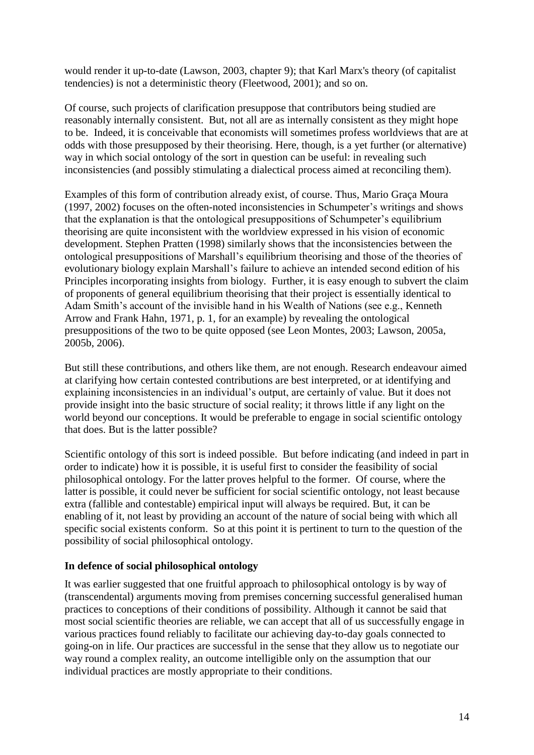would render it up-to-date (Lawson, 2003, chapter 9); that Karl Marx's theory (of capitalist tendencies) is not a deterministic theory (Fleetwood, 2001); and so on.

Of course, such projects of clarification presuppose that contributors being studied are reasonably internally consistent. But, not all are as internally consistent as they might hope to be. Indeed, it is conceivable that economists will sometimes profess worldviews that are at odds with those presupposed by their theorising. Here, though, is a yet further (or alternative) way in which social ontology of the sort in question can be useful: in revealing such inconsistencies (and possibly stimulating a dialectical process aimed at reconciling them).

Examples of this form of contribution already exist, of course. Thus, Mario Graça Moura (1997, 2002) focuses on the often-noted inconsistencies in Schumpeter's writings and shows that the explanation is that the ontological presuppositions of Schumpeter's equilibrium theorising are quite inconsistent with the worldview expressed in his vision of economic development. Stephen Pratten (1998) similarly shows that the inconsistencies between the ontological presuppositions of Marshall's equilibrium theorising and those of the theories of evolutionary biology explain Marshall's failure to achieve an intended second edition of his Principles incorporating insights from biology. Further, it is easy enough to subvert the claim of proponents of general equilibrium theorising that their project is essentially identical to Adam Smith's account of the invisible hand in his Wealth of Nations (see e.g., Kenneth Arrow and Frank Hahn, 1971, p. 1, for an example) by revealing the ontological presuppositions of the two to be quite opposed (see Leon Montes, 2003; Lawson, 2005a, 2005b, 2006).

But still these contributions, and others like them, are not enough. Research endeavour aimed at clarifying how certain contested contributions are best interpreted, or at identifying and explaining inconsistencies in an individual's output, are certainly of value. But it does not provide insight into the basic structure of social reality; it throws little if any light on the world beyond our conceptions. It would be preferable to engage in social scientific ontology that does. But is the latter possible?

Scientific ontology of this sort is indeed possible. But before indicating (and indeed in part in order to indicate) how it is possible, it is useful first to consider the feasibility of social philosophical ontology. For the latter proves helpful to the former. Of course, where the latter is possible, it could never be sufficient for social scientific ontology, not least because extra (fallible and contestable) empirical input will always be required. But, it can be enabling of it, not least by providing an account of the nature of social being with which all specific social existents conform. So at this point it is pertinent to turn to the question of the possibility of social philosophical ontology.

## **In defence of social philosophical ontology**

It was earlier suggested that one fruitful approach to philosophical ontology is by way of (transcendental) arguments moving from premises concerning successful generalised human practices to conceptions of their conditions of possibility. Although it cannot be said that most social scientific theories are reliable, we can accept that all of us successfully engage in various practices found reliably to facilitate our achieving day-to-day goals connected to going-on in life. Our practices are successful in the sense that they allow us to negotiate our way round a complex reality, an outcome intelligible only on the assumption that our individual practices are mostly appropriate to their conditions.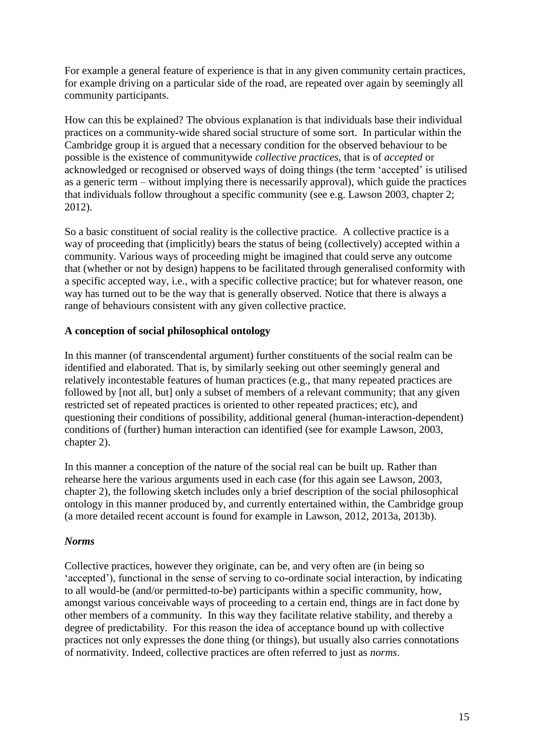For example a general feature of experience is that in any given community certain practices, for example driving on a particular side of the road, are repeated over again by seemingly all community participants.

How can this be explained? The obvious explanation is that individuals base their individual practices on a community-wide shared social structure of some sort. In particular within the Cambridge group it is argued that a necessary condition for the observed behaviour to be possible is the existence of communitywide *collective practices*, that is of *accepted* or acknowledged or recognised or observed ways of doing things (the term 'accepted' is utilised as a generic term – without implying there is necessarily approval), which guide the practices that individuals follow throughout a specific community (see e.g. Lawson 2003, chapter 2; 2012).

So a basic constituent of social reality is the collective practice. A collective practice is a way of proceeding that (implicitly) bears the status of being (collectively) accepted within a community. Various ways of proceeding might be imagined that could serve any outcome that (whether or not by design) happens to be facilitated through generalised conformity with a specific accepted way, i.e., with a specific collective practice; but for whatever reason, one way has turned out to be the way that is generally observed. Notice that there is always a range of behaviours consistent with any given collective practice.

## **A conception of social philosophical ontology**

In this manner (of transcendental argument) further constituents of the social realm can be identified and elaborated. That is, by similarly seeking out other seemingly general and relatively incontestable features of human practices (e.g., that many repeated practices are followed by [not all, but] only a subset of members of a relevant community; that any given restricted set of repeated practices is oriented to other repeated practices; etc), and questioning their conditions of possibility, additional general (human-interaction-dependent) conditions of (further) human interaction can identified (see for example Lawson, 2003, chapter 2).

In this manner a conception of the nature of the social real can be built up. Rather than rehearse here the various arguments used in each case (for this again see Lawson, 2003, chapter 2), the following sketch includes only a brief description of the social philosophical ontology in this manner produced by, and currently entertained within, the Cambridge group (a more detailed recent account is found for example in Lawson, 2012, 2013a, 2013b).

#### *Norms*

Collective practices, however they originate, can be, and very often are (in being so 'accepted'), functional in the sense of serving to co-ordinate social interaction, by indicating to all would-be (and/or permitted-to-be) participants within a specific community, how, amongst various conceivable ways of proceeding to a certain end, things are in fact done by other members of a community. In this way they facilitate relative stability, and thereby a degree of predictability. For this reason the idea of acceptance bound up with collective practices not only expresses the done thing (or things), but usually also carries connotations of normativity. Indeed, collective practices are often referred to just as *norms*.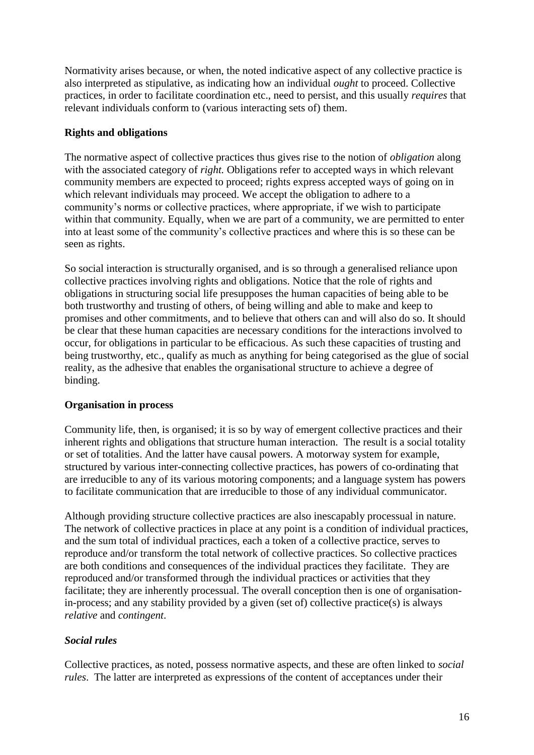Normativity arises because, or when, the noted indicative aspect of any collective practice is also interpreted as stipulative, as indicating how an individual *ought* to proceed. Collective practices, in order to facilitate coordination etc., need to persist, and this usually *requires* that relevant individuals conform to (various interacting sets of) them.

## **Rights and obligations**

The normative aspect of collective practices thus gives rise to the notion of *obligation* along with the associated category of *right.* Obligations refer to accepted ways in which relevant community members are expected to proceed; rights express accepted ways of going on in which relevant individuals may proceed. We accept the obligation to adhere to a community's norms or collective practices, where appropriate, if we wish to participate within that community. Equally, when we are part of a community, we are permitted to enter into at least some of the community's collective practices and where this is so these can be seen as rights.

So social interaction is structurally organised, and is so through a generalised reliance upon collective practices involving rights and obligations. Notice that the role of rights and obligations in structuring social life presupposes the human capacities of being able to be both trustworthy and trusting of others, of being willing and able to make and keep to promises and other commitments, and to believe that others can and will also do so. It should be clear that these human capacities are necessary conditions for the interactions involved to occur, for obligations in particular to be efficacious. As such these capacities of trusting and being trustworthy, etc., qualify as much as anything for being categorised as the glue of social reality, as the adhesive that enables the organisational structure to achieve a degree of binding.

# **Organisation in process**

Community life, then, is organised; it is so by way of emergent collective practices and their inherent rights and obligations that structure human interaction. The result is a social totality or set of totalities. And the latter have causal powers. A motorway system for example, structured by various inter-connecting collective practices, has powers of co-ordinating that are irreducible to any of its various motoring components; and a language system has powers to facilitate communication that are irreducible to those of any individual communicator.

Although providing structure collective practices are also inescapably processual in nature. The network of collective practices in place at any point is a condition of individual practices, and the sum total of individual practices, each a token of a collective practice, serves to reproduce and/or transform the total network of collective practices. So collective practices are both conditions and consequences of the individual practices they facilitate. They are reproduced and/or transformed through the individual practices or activities that they facilitate; they are inherently processual. The overall conception then is one of organisationin-process; and any stability provided by a given (set of) collective practice(s) is always *relative* and *contingent*.

# *Social rules*

Collective practices, as noted, possess normative aspects, and these are often linked to *social rules*. The latter are interpreted as expressions of the content of acceptances under their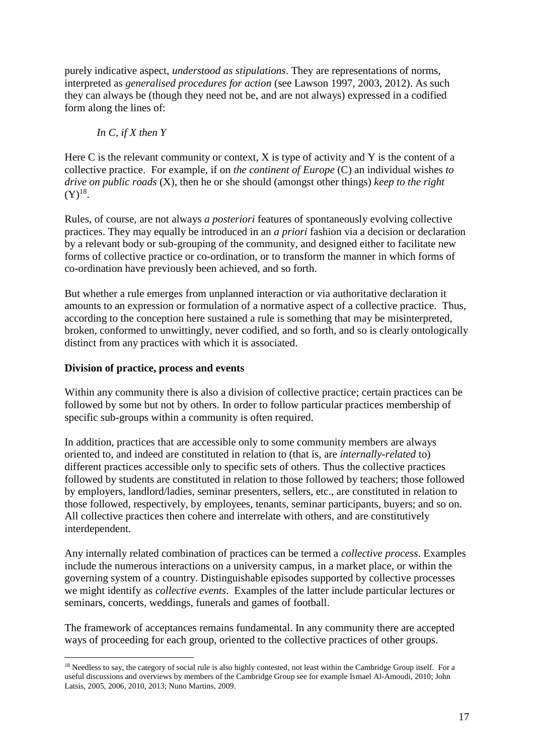purely indicative aspect, *understood as stipulations*. They are representations of norms, interpreted as *generalised procedures for action* (see Lawson 1997, 2003, 2012). As such they can always be (though they need not be, and are not always) expressed in a codified form along the lines of:

# *In C, if X then Y*

Here C is the relevant community or context,  $X$  is type of activity and  $Y$  is the content of a collective practice. For example, if on *the continent of Europe* (C) an individual wishes *to drive on public roads* (X), then he or she should (amongst other things) *keep to the right*  $(Y)^{18}$ .

Rules, of course, are not always *a posteriori* features of spontaneously evolving collective practices. They may equally be introduced in an *a priori* fashion via a decision or declaration by a relevant body or sub-grouping of the community, and designed either to facilitate new forms of collective practice or co-ordination, or to transform the manner in which forms of co-ordination have previously been achieved, and so forth.

But whether a rule emerges from unplanned interaction or via authoritative declaration it amounts to an expression or formulation of a normative aspect of a collective practice. Thus, according to the conception here sustained a rule is something that may be misinterpreted, broken, conformed to unwittingly, never codified, and so forth, and so is clearly ontologically distinct from any practices with which it is associated.

## **Division of practice, process and events**

1

Within any community there is also a division of collective practice; certain practices can be followed by some but not by others. In order to follow particular practices membership of specific sub-groups within a community is often required.

In addition, practices that are accessible only to some community members are always oriented to, and indeed are constituted in relation to (that is, are *internally-related* to) different practices accessible only to specific sets of others. Thus the collective practices followed by students are constituted in relation to those followed by teachers; those followed by employers, landlord/ladies, seminar presenters, sellers, etc., are constituted in relation to those followed, respectively, by employees, tenants, seminar participants, buyers; and so on. All collective practices then cohere and interrelate with others, and are constitutively interdependent.

Any internally related combination of practices can be termed a *collective process*. Examples include the numerous interactions on a university campus, in a market place, or within the governing system of a country. Distinguishable episodes supported by collective processes we might identify as *collective events*. Examples of the latter include particular lectures or seminars, concerts, weddings, funerals and games of football.

The framework of acceptances remains fundamental. In any community there are accepted ways of proceeding for each group, oriented to the collective practices of other groups.

<sup>&</sup>lt;sup>18</sup> Needless to say, the category of social rule is also highly contested, not least within the Cambridge Group itself. For a useful discussions and overviews by members of the Cambridge Group see for example Ismael Al-Amoudi, 2010; John Latsis, 2005, 2006, 2010, 2013; Nuno Martins, 2009.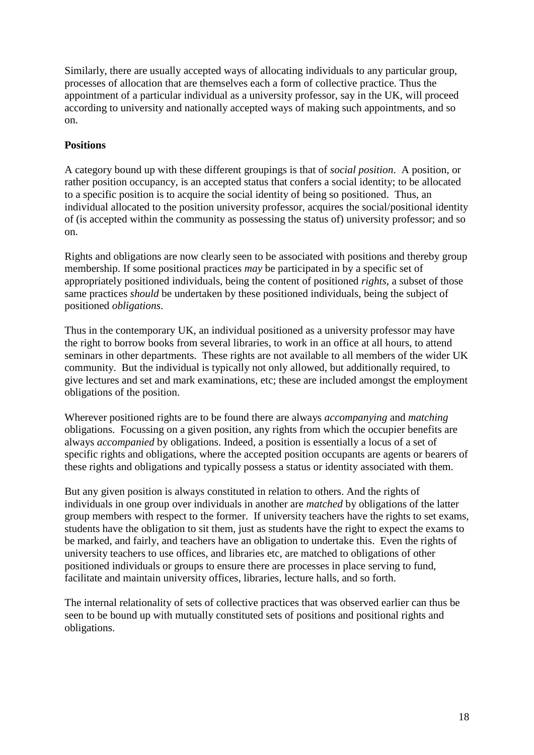Similarly, there are usually accepted ways of allocating individuals to any particular group, processes of allocation that are themselves each a form of collective practice. Thus the appointment of a particular individual as a university professor, say in the UK, will proceed according to university and nationally accepted ways of making such appointments, and so on.

## **Positions**

A category bound up with these different groupings is that of *social position*. A position, or rather position occupancy, is an accepted status that confers a social identity; to be allocated to a specific position is to acquire the social identity of being so positioned. Thus, an individual allocated to the position university professor, acquires the social/positional identity of (is accepted within the community as possessing the status of) university professor; and so on.

Rights and obligations are now clearly seen to be associated with positions and thereby group membership. If some positional practices *may* be participated in by a specific set of appropriately positioned individuals, being the content of positioned *rights*, a subset of those same practices *should* be undertaken by these positioned individuals, being the subject of positioned *obligations*.

Thus in the contemporary UK, an individual positioned as a university professor may have the right to borrow books from several libraries, to work in an office at all hours, to attend seminars in other departments. These rights are not available to all members of the wider UK community. But the individual is typically not only allowed, but additionally required, to give lectures and set and mark examinations, etc; these are included amongst the employment obligations of the position.

Wherever positioned rights are to be found there are always *accompanying* and *matching* obligations. Focussing on a given position, any rights from which the occupier benefits are always *accompanied* by obligations. Indeed, a position is essentially a locus of a set of specific rights and obligations, where the accepted position occupants are agents or bearers of these rights and obligations and typically possess a status or identity associated with them.

But any given position is always constituted in relation to others. And the rights of individuals in one group over individuals in another are *matched* by obligations of the latter group members with respect to the former. If university teachers have the rights to set exams, students have the obligation to sit them, just as students have the right to expect the exams to be marked, and fairly, and teachers have an obligation to undertake this. Even the rights of university teachers to use offices, and libraries etc, are matched to obligations of other positioned individuals or groups to ensure there are processes in place serving to fund, facilitate and maintain university offices, libraries, lecture halls, and so forth.

The internal relationality of sets of collective practices that was observed earlier can thus be seen to be bound up with mutually constituted sets of positions and positional rights and obligations.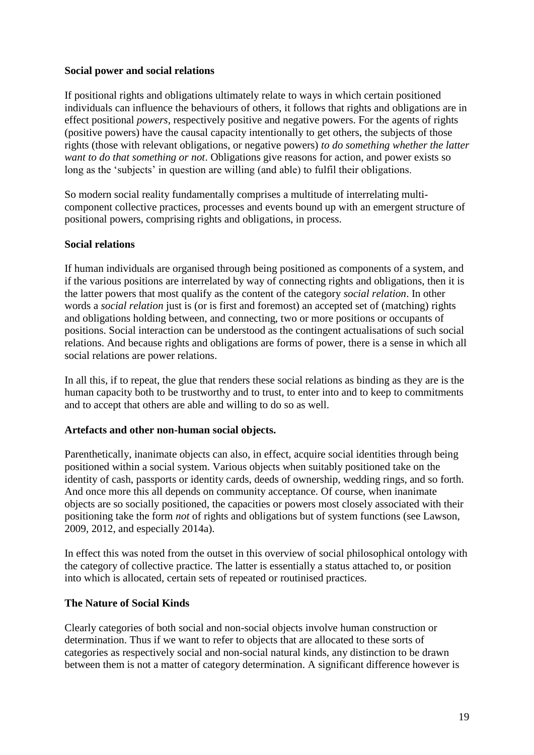#### **Social power and social relations**

If positional rights and obligations ultimately relate to ways in which certain positioned individuals can influence the behaviours of others, it follows that rights and obligations are in effect positional *powers*, respectively positive and negative powers. For the agents of rights (positive powers) have the causal capacity intentionally to get others, the subjects of those rights (those with relevant obligations, or negative powers) *to do something whether the latter want to do that something or not*. Obligations give reasons for action, and power exists so long as the 'subjects' in question are willing (and able) to fulfil their obligations.

So modern social reality fundamentally comprises a multitude of interrelating multicomponent collective practices, processes and events bound up with an emergent structure of positional powers, comprising rights and obligations, in process.

#### **Social relations**

If human individuals are organised through being positioned as components of a system, and if the various positions are interrelated by way of connecting rights and obligations, then it is the latter powers that most qualify as the content of the category *social relation*. In other words a *social relation* just is (or is first and foremost) an accepted set of (matching) rights and obligations holding between, and connecting, two or more positions or occupants of positions. Social interaction can be understood as the contingent actualisations of such social relations. And because rights and obligations are forms of power, there is a sense in which all social relations are power relations.

In all this, if to repeat, the glue that renders these social relations as binding as they are is the human capacity both to be trustworthy and to trust, to enter into and to keep to commitments and to accept that others are able and willing to do so as well.

#### **Artefacts and other non-human social objects.**

Parenthetically, inanimate objects can also, in effect, acquire social identities through being positioned within a social system. Various objects when suitably positioned take on the identity of cash, passports or identity cards, deeds of ownership, wedding rings, and so forth. And once more this all depends on community acceptance. Of course, when inanimate objects are so socially positioned, the capacities or powers most closely associated with their positioning take the form *not* of rights and obligations but of system functions (see Lawson, 2009, 2012, and especially 2014a).

In effect this was noted from the outset in this overview of social philosophical ontology with the category of collective practice. The latter is essentially a status attached to, or position into which is allocated, certain sets of repeated or routinised practices.

## **The Nature of Social Kinds**

Clearly categories of both social and non-social objects involve human construction or determination. Thus if we want to refer to objects that are allocated to these sorts of categories as respectively social and non-social natural kinds, any distinction to be drawn between them is not a matter of category determination. A significant difference however is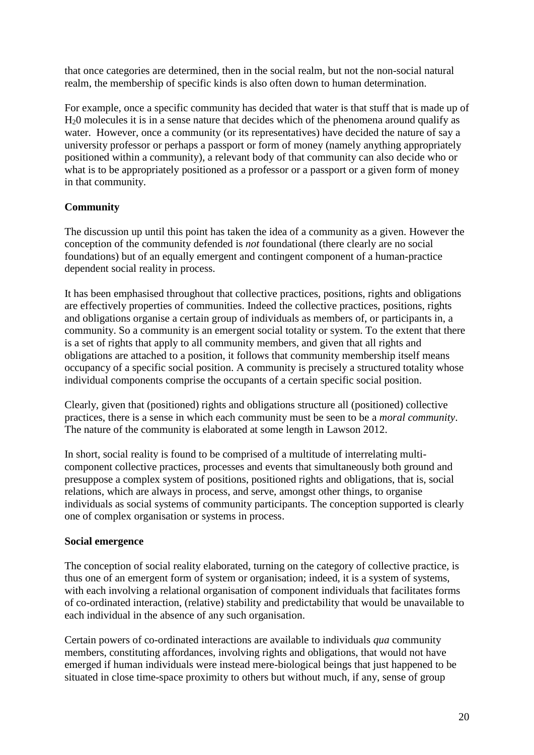that once categories are determined, then in the social realm, but not the non-social natural realm, the membership of specific kinds is also often down to human determination.

For example, once a specific community has decided that water is that stuff that is made up of H20 molecules it is in a sense nature that decides which of the phenomena around qualify as water. However, once a community (or its representatives) have decided the nature of say a university professor or perhaps a passport or form of money (namely anything appropriately positioned within a community), a relevant body of that community can also decide who or what is to be appropriately positioned as a professor or a passport or a given form of money in that community.

# **Community**

The discussion up until this point has taken the idea of a community as a given. However the conception of the community defended is *not* foundational (there clearly are no social foundations) but of an equally emergent and contingent component of a human-practice dependent social reality in process.

It has been emphasised throughout that collective practices, positions, rights and obligations are effectively properties of communities. Indeed the collective practices, positions, rights and obligations organise a certain group of individuals as members of, or participants in, a community. So a community is an emergent social totality or system. To the extent that there is a set of rights that apply to all community members, and given that all rights and obligations are attached to a position, it follows that community membership itself means occupancy of a specific social position. A community is precisely a structured totality whose individual components comprise the occupants of a certain specific social position.

Clearly, given that (positioned) rights and obligations structure all (positioned) collective practices, there is a sense in which each community must be seen to be a *moral community*. The nature of the community is elaborated at some length in Lawson 2012.

In short, social reality is found to be comprised of a multitude of interrelating multicomponent collective practices, processes and events that simultaneously both ground and presuppose a complex system of positions, positioned rights and obligations, that is, social relations, which are always in process, and serve, amongst other things, to organise individuals as social systems of community participants. The conception supported is clearly one of complex organisation or systems in process.

## **Social emergence**

The conception of social reality elaborated, turning on the category of collective practice, is thus one of an emergent form of system or organisation; indeed, it is a system of systems, with each involving a relational organisation of component individuals that facilitates forms of co-ordinated interaction, (relative) stability and predictability that would be unavailable to each individual in the absence of any such organisation.

Certain powers of co-ordinated interactions are available to individuals *qua* community members, constituting affordances, involving rights and obligations, that would not have emerged if human individuals were instead mere-biological beings that just happened to be situated in close time-space proximity to others but without much, if any, sense of group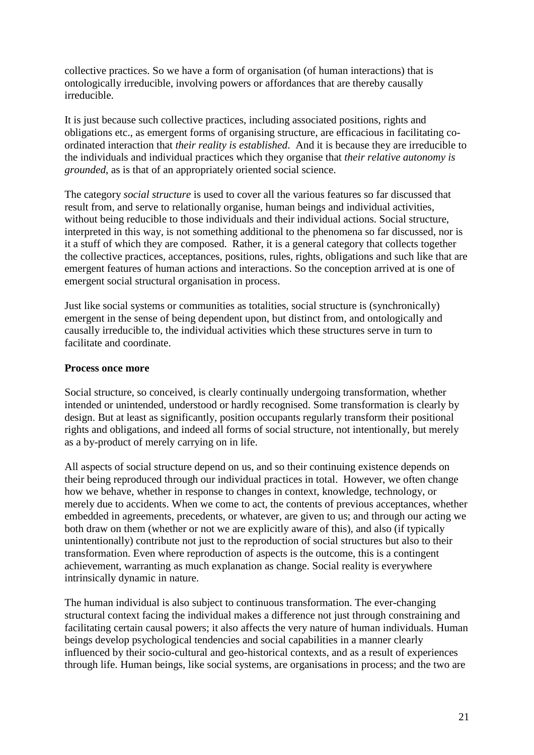collective practices. So we have a form of organisation (of human interactions) that is ontologically irreducible, involving powers or affordances that are thereby causally irreducible.

It is just because such collective practices, including associated positions, rights and obligations etc., as emergent forms of organising structure, are efficacious in facilitating coordinated interaction that *their reality is established*. And it is because they are irreducible to the individuals and individual practices which they organise that *their relative autonomy is grounded*, as is that of an appropriately oriented social science.

The category *social structure* is used to cover all the various features so far discussed that result from, and serve to relationally organise, human beings and individual activities, without being reducible to those individuals and their individual actions. Social structure, interpreted in this way, is not something additional to the phenomena so far discussed, nor is it a stuff of which they are composed. Rather, it is a general category that collects together the collective practices, acceptances, positions, rules, rights, obligations and such like that are emergent features of human actions and interactions. So the conception arrived at is one of emergent social structural organisation in process.

Just like social systems or communities as totalities, social structure is (synchronically) emergent in the sense of being dependent upon, but distinct from, and ontologically and causally irreducible to, the individual activities which these structures serve in turn to facilitate and coordinate.

#### **Process once more**

Social structure, so conceived, is clearly continually undergoing transformation, whether intended or unintended, understood or hardly recognised. Some transformation is clearly by design. But at least as significantly, position occupants regularly transform their positional rights and obligations, and indeed all forms of social structure, not intentionally, but merely as a by-product of merely carrying on in life.

All aspects of social structure depend on us, and so their continuing existence depends on their being reproduced through our individual practices in total. However, we often change how we behave, whether in response to changes in context, knowledge, technology, or merely due to accidents. When we come to act, the contents of previous acceptances, whether embedded in agreements, precedents, or whatever, are given to us; and through our acting we both draw on them (whether or not we are explicitly aware of this), and also (if typically unintentionally) contribute not just to the reproduction of social structures but also to their transformation. Even where reproduction of aspects is the outcome, this is a contingent achievement, warranting as much explanation as change. Social reality is everywhere intrinsically dynamic in nature.

The human individual is also subject to continuous transformation. The ever-changing structural context facing the individual makes a difference not just through constraining and facilitating certain causal powers; it also affects the very nature of human individuals. Human beings develop psychological tendencies and social capabilities in a manner clearly influenced by their socio-cultural and geo-historical contexts, and as a result of experiences through life. Human beings, like social systems, are organisations in process; and the two are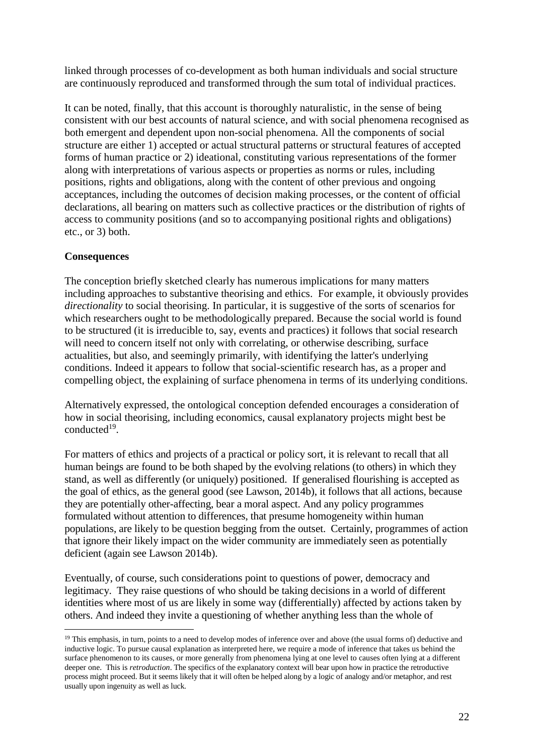linked through processes of co-development as both human individuals and social structure are continuously reproduced and transformed through the sum total of individual practices.

It can be noted, finally, that this account is thoroughly naturalistic, in the sense of being consistent with our best accounts of natural science, and with social phenomena recognised as both emergent and dependent upon non-social phenomena. All the components of social structure are either 1) accepted or actual structural patterns or structural features of accepted forms of human practice or 2) ideational, constituting various representations of the former along with interpretations of various aspects or properties as norms or rules, including positions, rights and obligations, along with the content of other previous and ongoing acceptances, including the outcomes of decision making processes, or the content of official declarations, all bearing on matters such as collective practices or the distribution of rights of access to community positions (and so to accompanying positional rights and obligations) etc., or 3) both.

## **Consequences**

1

The conception briefly sketched clearly has numerous implications for many matters including approaches to substantive theorising and ethics. For example, it obviously provides *directionality* to social theorising. In particular, it is suggestive of the sorts of scenarios for which researchers ought to be methodologically prepared. Because the social world is found to be structured (it is irreducible to, say, events and practices) it follows that social research will need to concern itself not only with correlating, or otherwise describing, surface actualities, but also, and seemingly primarily, with identifying the latter's underlying conditions. Indeed it appears to follow that social-scientific research has, as a proper and compelling object, the explaining of surface phenomena in terms of its underlying conditions.

Alternatively expressed, the ontological conception defended encourages a consideration of how in social theorising, including economics, causal explanatory projects might best be conducted<sup>19</sup>.

For matters of ethics and projects of a practical or policy sort, it is relevant to recall that all human beings are found to be both shaped by the evolving relations (to others) in which they stand, as well as differently (or uniquely) positioned. If generalised flourishing is accepted as the goal of ethics, as the general good (see Lawson, 2014b), it follows that all actions, because they are potentially other-affecting, bear a moral aspect. And any policy programmes formulated without attention to differences, that presume homogeneity within human populations, are likely to be question begging from the outset. Certainly, programmes of action that ignore their likely impact on the wider community are immediately seen as potentially deficient (again see Lawson 2014b).

Eventually, of course, such considerations point to questions of power, democracy and legitimacy. They raise questions of who should be taking decisions in a world of different identities where most of us are likely in some way (differentially) affected by actions taken by others. And indeed they invite a questioning of whether anything less than the whole of

<sup>&</sup>lt;sup>19</sup> This emphasis, in turn, points to a need to develop modes of inference over and above (the usual forms of) deductive and inductive logic. To pursue causal explanation as interpreted here, we require a mode of inference that takes us behind the surface phenomenon to its causes, or more generally from phenomena lying at one level to causes often lying at a different deeper one. This is *retroduction*. The specifics of the explanatory context will bear upon how in practice the retroductive process might proceed. But it seems likely that it will often be helped along by a logic of analogy and/or metaphor, and rest usually upon ingenuity as well as luck.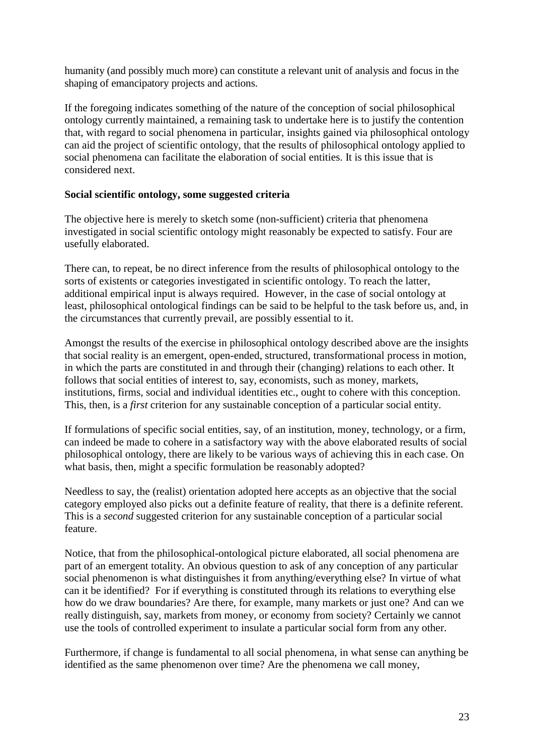humanity (and possibly much more) can constitute a relevant unit of analysis and focus in the shaping of emancipatory projects and actions.

If the foregoing indicates something of the nature of the conception of social philosophical ontology currently maintained, a remaining task to undertake here is to justify the contention that, with regard to social phenomena in particular, insights gained via philosophical ontology can aid the project of scientific ontology, that the results of philosophical ontology applied to social phenomena can facilitate the elaboration of social entities. It is this issue that is considered next.

## **Social scientific ontology, some suggested criteria**

The objective here is merely to sketch some (non-sufficient) criteria that phenomena investigated in social scientific ontology might reasonably be expected to satisfy. Four are usefully elaborated.

There can, to repeat, be no direct inference from the results of philosophical ontology to the sorts of existents or categories investigated in scientific ontology. To reach the latter, additional empirical input is always required. However, in the case of social ontology at least, philosophical ontological findings can be said to be helpful to the task before us, and, in the circumstances that currently prevail, are possibly essential to it.

Amongst the results of the exercise in philosophical ontology described above are the insights that social reality is an emergent, open-ended, structured, transformational process in motion, in which the parts are constituted in and through their (changing) relations to each other. It follows that social entities of interest to, say, economists, such as money, markets, institutions, firms, social and individual identities etc., ought to cohere with this conception. This, then, is a *first* criterion for any sustainable conception of a particular social entity.

If formulations of specific social entities, say, of an institution, money, technology, or a firm, can indeed be made to cohere in a satisfactory way with the above elaborated results of social philosophical ontology, there are likely to be various ways of achieving this in each case. On what basis, then, might a specific formulation be reasonably adopted?

Needless to say, the (realist) orientation adopted here accepts as an objective that the social category employed also picks out a definite feature of reality, that there is a definite referent. This is a *second* suggested criterion for any sustainable conception of a particular social feature.

Notice, that from the philosophical-ontological picture elaborated, all social phenomena are part of an emergent totality. An obvious question to ask of any conception of any particular social phenomenon is what distinguishes it from anything/everything else? In virtue of what can it be identified? For if everything is constituted through its relations to everything else how do we draw boundaries? Are there, for example, many markets or just one? And can we really distinguish, say, markets from money, or economy from society? Certainly we cannot use the tools of controlled experiment to insulate a particular social form from any other.

Furthermore, if change is fundamental to all social phenomena, in what sense can anything be identified as the same phenomenon over time? Are the phenomena we call money,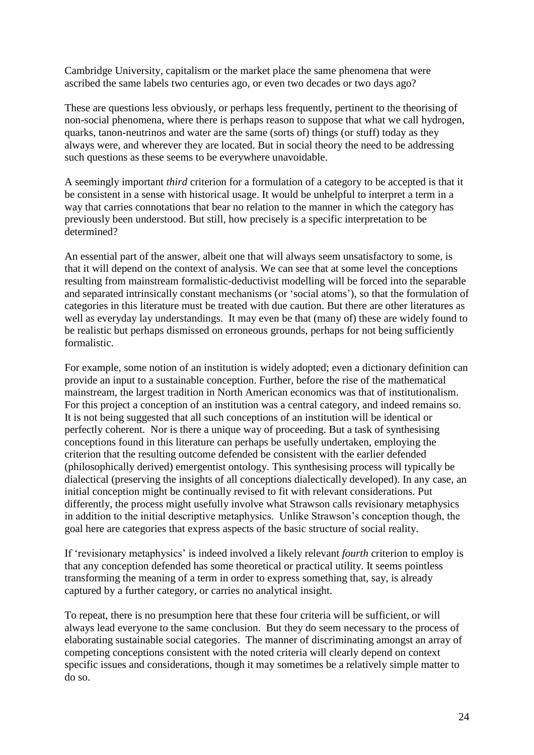Cambridge University, capitalism or the market place the same phenomena that were ascribed the same labels two centuries ago, or even two decades or two days ago?

These are questions less obviously, or perhaps less frequently, pertinent to the theorising of non-social phenomena, where there is perhaps reason to suppose that what we call hydrogen, quarks, tanon-neutrinos and water are the same (sorts of) things (or stuff) today as they always were, and wherever they are located. But in social theory the need to be addressing such questions as these seems to be everywhere unavoidable.

A seemingly important *third* criterion for a formulation of a category to be accepted is that it be consistent in a sense with historical usage. It would be unhelpful to interpret a term in a way that carries connotations that bear no relation to the manner in which the category has previously been understood. But still, how precisely is a specific interpretation to be determined?

An essential part of the answer, albeit one that will always seem unsatisfactory to some, is that it will depend on the context of analysis. We can see that at some level the conceptions resulting from mainstream formalistic-deductivist modelling will be forced into the separable and separated intrinsically constant mechanisms (or 'social atoms'), so that the formulation of categories in this literature must be treated with due caution. But there are other literatures as well as everyday lay understandings. It may even be that (many of) these are widely found to be realistic but perhaps dismissed on erroneous grounds, perhaps for not being sufficiently formalistic.

For example, some notion of an institution is widely adopted; even a dictionary definition can provide an input to a sustainable conception. Further, before the rise of the mathematical mainstream, the largest tradition in North American economics was that of institutionalism. For this project a conception of an institution was a central category, and indeed remains so. It is not being suggested that all such conceptions of an institution will be identical or perfectly coherent. Nor is there a unique way of proceeding. But a task of synthesising conceptions found in this literature can perhaps be usefully undertaken, employing the criterion that the resulting outcome defended be consistent with the earlier defended (philosophically derived) emergentist ontology. This synthesising process will typically be dialectical (preserving the insights of all conceptions dialectically developed). In any case, an initial conception might be continually revised to fit with relevant considerations. Put differently, the process might usefully involve what Strawson calls revisionary metaphysics in addition to the initial descriptive metaphysics. Unlike Strawson's conception though, the goal here are categories that express aspects of the basic structure of social reality.

If 'revisionary metaphysics' is indeed involved a likely relevant *fourth* criterion to employ is that any conception defended has some theoretical or practical utility. It seems pointless transforming the meaning of a term in order to express something that, say, is already captured by a further category, or carries no analytical insight.

To repeat, there is no presumption here that these four criteria will be sufficient, or will always lead everyone to the same conclusion. But they do seem necessary to the process of elaborating sustainable social categories. The manner of discriminating amongst an array of competing conceptions consistent with the noted criteria will clearly depend on context specific issues and considerations, though it may sometimes be a relatively simple matter to do so.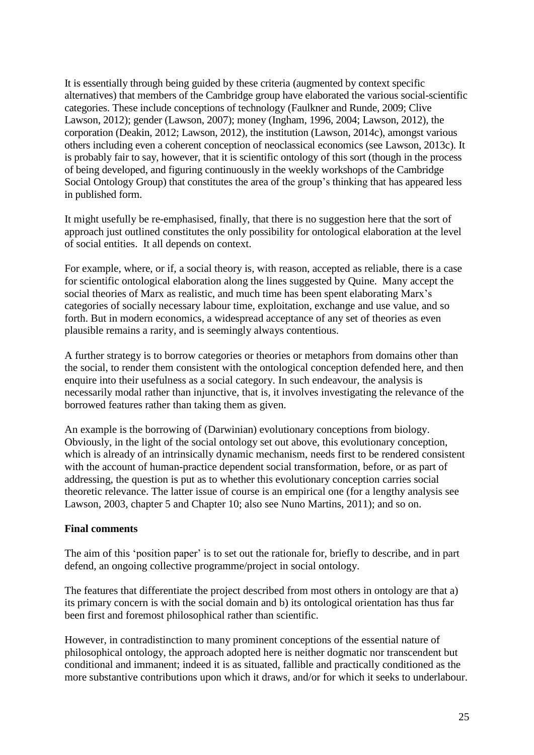It is essentially through being guided by these criteria (augmented by context specific alternatives) that members of the Cambridge group have elaborated the various social-scientific categories. These include conceptions of technology (Faulkner and Runde, 2009; Clive Lawson, 2012); gender (Lawson, 2007); money (Ingham, 1996, 2004; Lawson, 2012), the corporation (Deakin, 2012; Lawson, 2012), the institution (Lawson, 2014c), amongst various others including even a coherent conception of neoclassical economics (see Lawson, 2013c). It is probably fair to say, however, that it is scientific ontology of this sort (though in the process of being developed, and figuring continuously in the weekly workshops of the Cambridge Social Ontology Group) that constitutes the area of the group's thinking that has appeared less in published form.

It might usefully be re-emphasised, finally, that there is no suggestion here that the sort of approach just outlined constitutes the only possibility for ontological elaboration at the level of social entities. It all depends on context.

For example, where, or if, a social theory is, with reason, accepted as reliable, there is a case for scientific ontological elaboration along the lines suggested by Quine. Many accept the social theories of Marx as realistic, and much time has been spent elaborating Marx's categories of socially necessary labour time, exploitation, exchange and use value, and so forth. But in modern economics, a widespread acceptance of any set of theories as even plausible remains a rarity, and is seemingly always contentious.

A further strategy is to borrow categories or theories or metaphors from domains other than the social, to render them consistent with the ontological conception defended here, and then enquire into their usefulness as a social category. In such endeavour, the analysis is necessarily modal rather than injunctive, that is, it involves investigating the relevance of the borrowed features rather than taking them as given.

An example is the borrowing of (Darwinian) evolutionary conceptions from biology. Obviously, in the light of the social ontology set out above, this evolutionary conception, which is already of an intrinsically dynamic mechanism, needs first to be rendered consistent with the account of human-practice dependent social transformation, before, or as part of addressing, the question is put as to whether this evolutionary conception carries social theoretic relevance. The latter issue of course is an empirical one (for a lengthy analysis see Lawson, 2003, chapter 5 and Chapter 10; also see Nuno Martins, 2011); and so on.

## **Final comments**

The aim of this 'position paper' is to set out the rationale for, briefly to describe, and in part defend, an ongoing collective programme/project in social ontology.

The features that differentiate the project described from most others in ontology are that a) its primary concern is with the social domain and b) its ontological orientation has thus far been first and foremost philosophical rather than scientific.

However, in contradistinction to many prominent conceptions of the essential nature of philosophical ontology, the approach adopted here is neither dogmatic nor transcendent but conditional and immanent; indeed it is as situated, fallible and practically conditioned as the more substantive contributions upon which it draws, and/or for which it seeks to underlabour.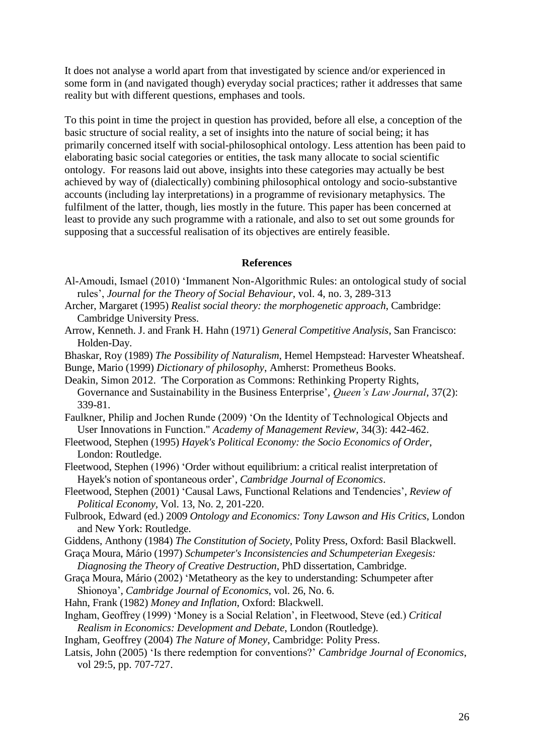It does not analyse a world apart from that investigated by science and/or experienced in some form in (and navigated though) everyday social practices; rather it addresses that same reality but with different questions, emphases and tools.

To this point in time the project in question has provided, before all else, a conception of the basic structure of social reality, a set of insights into the nature of social being; it has primarily concerned itself with social-philosophical ontology. Less attention has been paid to elaborating basic social categories or entities, the task many allocate to social scientific ontology. For reasons laid out above, insights into these categories may actually be best achieved by way of (dialectically) combining philosophical ontology and socio-substantive accounts (including lay interpretations) in a programme of revisionary metaphysics. The fulfilment of the latter, though, lies mostly in the future. This paper has been concerned at least to provide any such programme with a rationale, and also to set out some grounds for supposing that a successful realisation of its objectives are entirely feasible.

#### **References**

- Al-Amoudi, Ismael (2010) 'Immanent Non-Algorithmic Rules: an ontological study of social rules', *Journal for the Theory of Social Behaviour*, vol. 4, no. 3, 289-313
- Archer, Margaret (1995) *Realist social theory: the morphogenetic approach*, Cambridge: Cambridge University Press.
- Arrow, Kenneth. J. and Frank H. Hahn (1971) *General Competitive Analysis*, San Francisco: Holden-Day.
- Bhaskar, Roy (1989) *The Possibility of Naturalism*, Hemel Hempstead: Harvester Wheatsheaf.
- Bunge, Mario (1999) *Dictionary of philosophy*, Amherst: Prometheus Books.
- Deakin, Simon 2012. *'*The Corporation as Commons: Rethinking Property Rights, Governance and Sustainability in the Business Enterprise'*, Queen's Law Journal,* 37(2): 339-81.
- Faulkner, Philip and Jochen Runde (2009) 'On the Identity of Technological Objects and User Innovations in Function." *Academy of Management Review*, 34(3): 442-462.
- Fleetwood, Stephen (1995) *Hayek's Political Economy: the Socio Economics of Order*, London: Routledge.
- Fleetwood, Stephen (1996) 'Order without equilibrium: a critical realist interpretation of Hayek's notion of spontaneous order', *Cambridge Journal of Economics*.
- Fleetwood, Stephen (2001) 'Causal Laws, Functional Relations and Tendencies', *Review of Political Economy,* Vol. 13, No. 2, 201-220.
- Fulbrook, Edward (ed.) 2009 *Ontology and Economics: Tony Lawson and His Critics*, London and New York: Routledge.
- Giddens, Anthony (1984) *The Constitution of Society*, Polity Press, Oxford: Basil Blackwell.
- Graça Moura, Mário (1997) *Schumpeter's Inconsistencies and Schumpeterian Exegesis: Diagnosing the Theory of Creative Destruction*, PhD dissertation, Cambridge.
- Graça Moura, Mário (2002) 'Metatheory as the key to understanding: Schumpeter after Shionoya', *Cambridge Journal of Economics*, vol. 26, No. 6.
- Hahn, Frank (1982) *Money and Inflation*, Oxford: Blackwell.
- Ingham, Geoffrey (1999) 'Money is a Social Relation', in Fleetwood, Steve (ed.) *Critical Realism in Economics: Development and Debate*, London (Routledge).
- Ingham, Geoffrey (2004) *The Nature of Money*, Cambridge: Polity Press.
- Latsis, John (2005) 'Is there redemption for conventions?' *Cambridge Journal of Economics*, vol 29:5, pp. 707-727.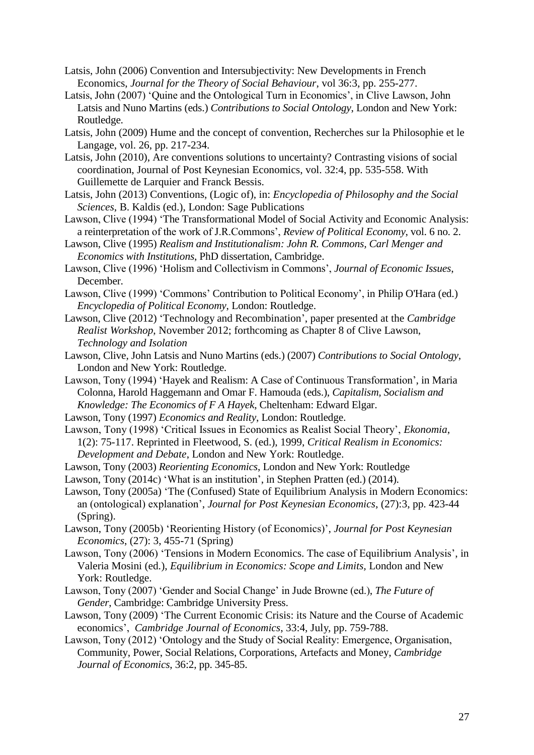- Latsis, John (2006) Convention and Intersubjectivity: New Developments in French Economics, *Journal for the Theory of Social Behaviour*, vol 36:3, pp. 255-277.
- Latsis, John (2007) 'Quine and the Ontological Turn in Economics', in Clive Lawson, John Latsis and Nuno Martins (eds.) *Contributions to Social Ontology*, London and New York: Routledge.
- Latsis, John (2009) Hume and the concept of convention, Recherches sur la Philosophie et le Langage, vol. 26, pp. 217-234.
- Latsis, John (2010), Are conventions solutions to uncertainty? Contrasting visions of social coordination, Journal of Post Keynesian Economics, vol. 32:4, pp. 535-558. With Guillemette de Larquier and Franck Bessis.
- Latsis, John (2013) Conventions, (Logic of), in: *Encyclopedia of Philosophy and the Social Sciences*, B. Kaldis (ed.), London: Sage Publications
- Lawson, Clive (1994) 'The Transformational Model of Social Activity and Economic Analysis: a reinterpretation of the work of J.R.Commons', *Review of Political Economy*, vol. 6 no. 2.
- Lawson, Clive (1995) *Realism and Institutionalism: John R. Commons, Carl Menger and Economics with Institutions*, PhD dissertation, Cambridge.
- Lawson, Clive (1996) 'Holism and Collectivism in Commons', *Journal of Economic Issues*, December.
- Lawson, Clive (1999) 'Commons' Contribution to Political Economy', in Philip O'Hara (ed.) *Encyclopedia of Political Economy*, London: Routledge.
- Lawson, Clive (2012) 'Technology and Recombination', paper presented at the *Cambridge Realist Workshop*, November 2012; forthcoming as Chapter 8 of Clive Lawson, *Technology and Isolation*
- Lawson, Clive, John Latsis and Nuno Martins (eds.) (2007) *Contributions to Social Ontology*, London and New York: Routledge.
- Lawson, Tony (1994) 'Hayek and Realism: A Case of Continuous Transformation', in Maria Colonna, Harold Haggemann and Omar F. Hamouda (eds.), *Capitalism, Socialism and Knowledge: The Economics of F A Hayek*, Cheltenham: Edward Elgar.
- Lawson, Tony (1997) *Economics and Reality*, London: Routledge.
- Lawson, Tony (1998) 'Critical Issues in Economics as Realist Social Theory', *Ekonomia*, 1(2): 75-117. Reprinted in Fleetwood, S. (ed.), 1999, *Critical Realism in Economics: Development and Debate*, London and New York: Routledge.
- Lawson, Tony (2003) *Reorienting Economics*, London and New York: Routledge
- Lawson, Tony (2014c) 'What is an institution', in Stephen Pratten (ed.) (2014).
- Lawson, Tony (2005a) 'The (Confused) State of Equilibrium Analysis in Modern Economics: an (ontological) explanation', *Journal for Post Keynesian Economics*, (27):3, pp. 423-44 (Spring).
- Lawson, Tony (2005b) 'Reorienting History (of Economics)', *[Journal for Post Keynesian](http://mesharpe.metapress.com/link.asp?target=contribution&id=N8PF5XCD7AG6HAHP)  Economics*[, \(27\): 3, 455-71 \(Spring\)](http://mesharpe.metapress.com/link.asp?target=contribution&id=N8PF5XCD7AG6HAHP)
- Lawson, Tony (2006) 'Tensions in Modern Economics. The case of Equilibrium Analysis', in Valeria Mosini (ed.), *Equilibrium in Economics: Scope and Limits,* London and New York: Routledge.
- Lawson, Tony (2007) 'Gender and Social Change' in Jude Browne (ed.), *The Future of Gender*, Cambridge: Cambridge University Press.
- Lawson, Tony (2009) 'The Current Economic Crisis: its Nature and the Course of Academic economics', *Cambridge Journal of Economics*, 33:4, July, pp. 759-788.
- Lawson, Tony (2012) 'Ontology and the Study of Social Reality: Emergence, Organisation, Community, Power, Social Relations, Corporations, Artefacts and Money, *Cambridge Journal of Economics*, 36:2, pp. 345-85.